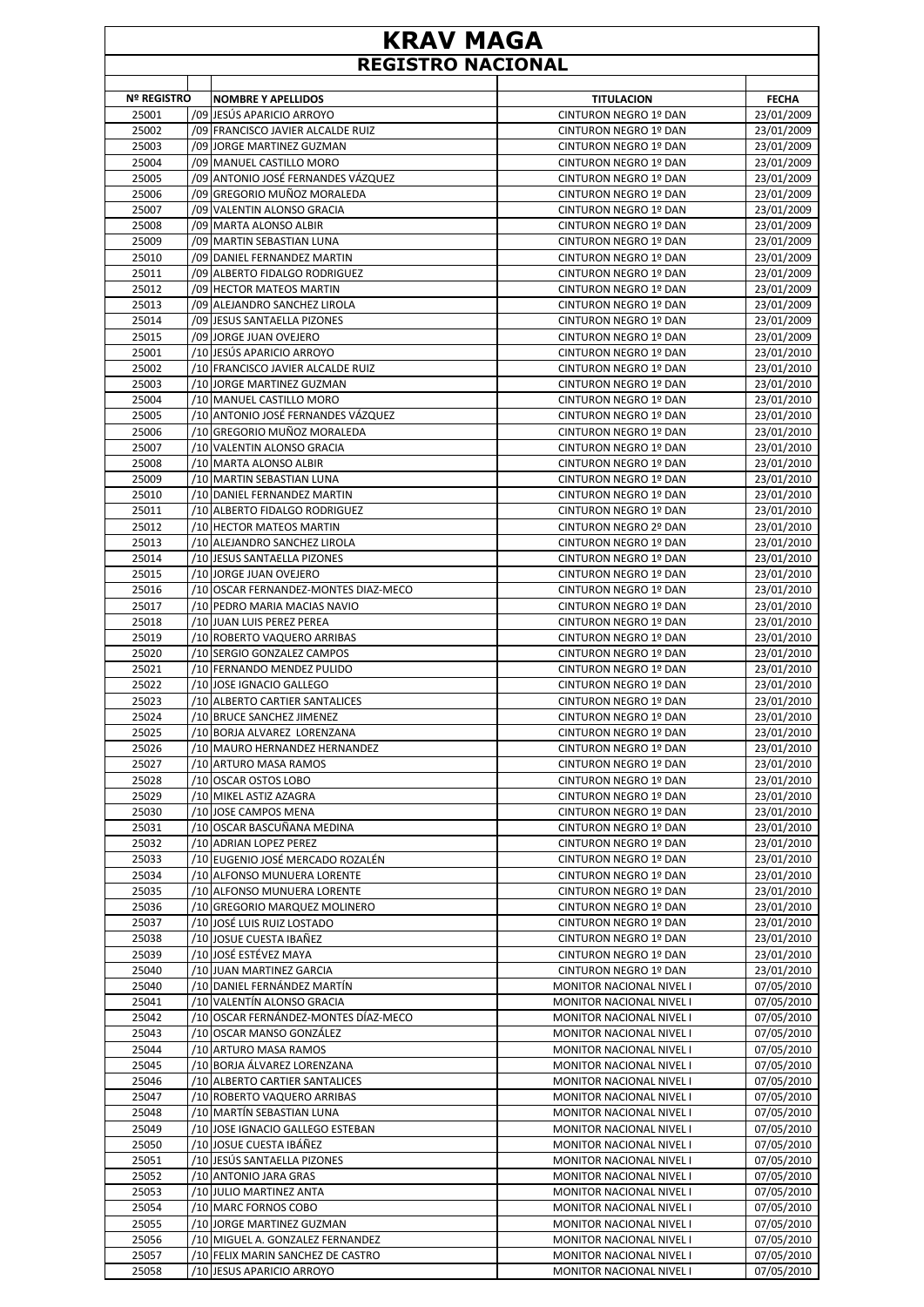## **KRAV MAGA REGISTRO NACIONAL**

| <b>Nº REGISTRO</b> | <b>NOMBRE Y APELLIDOS</b>            | <b>TITULACION</b>            | <b>FECHA</b> |
|--------------------|--------------------------------------|------------------------------|--------------|
| 25001              | /09 JESÚS APARICIO ARROYO            | CINTURON NEGRO 1º DAN        | 23/01/2009   |
| 25002              | /09 FRANCISCO JAVIER ALCALDE RUIZ    | CINTURON NEGRO 1º DAN        | 23/01/2009   |
|                    |                                      |                              |              |
| 25003              | /09 JORGE MARTINEZ GUZMAN            | CINTURON NEGRO 1º DAN        | 23/01/2009   |
| 25004              | /09 MANUEL CASTILLO MORO             | CINTURON NEGRO 1º DAN        | 23/01/2009   |
| 25005              | /09 ANTONIO JOSÉ FERNANDES VÁZQUEZ   | CINTURON NEGRO 1º DAN        | 23/01/2009   |
| 25006              | /09 GREGORIO MUÑOZ MORALEDA          | CINTURON NEGRO 1º DAN        | 23/01/2009   |
| 25007              | /09 VALENTIN ALONSO GRACIA           | CINTURON NEGRO 1º DAN        | 23/01/2009   |
| 25008              | /09 MARTA ALONSO ALBIR               | <b>CINTURON NEGRO 1º DAN</b> | 23/01/2009   |
| 25009              | /09 MARTIN SEBASTIAN LUNA            | <b>CINTURON NEGRO 1º DAN</b> | 23/01/2009   |
| 25010              | /09 DANIEL FERNANDEZ MARTIN          | CINTURON NEGRO 1º DAN        | 23/01/2009   |
| 25011              | /09 ALBERTO FIDALGO RODRIGUEZ        | CINTURON NEGRO 1º DAN        | 23/01/2009   |
| 25012              | /09 HECTOR MATEOS MARTIN             | CINTURON NEGRO 1º DAN        | 23/01/2009   |
| 25013              | /09 ALEJANDRO SANCHEZ LIROLA         | CINTURON NEGRO 1º DAN        | 23/01/2009   |
| 25014              | /09 JESUS SANTAELLA PIZONES          | CINTURON NEGRO 1º DAN        | 23/01/2009   |
| 25015              | /09 JORGE JUAN OVEJERO               | CINTURON NEGRO 1º DAN        | 23/01/2009   |
| 25001              | /10 JESÚS APARICIO ARROYO            | CINTURON NEGRO 1º DAN        | 23/01/2010   |
| 25002              | /10 FRANCISCO JAVIER ALCALDE RUIZ    | CINTURON NEGRO 1º DAN        | 23/01/2010   |
| 25003              | /10 JORGE MARTINEZ GUZMAN            | CINTURON NEGRO 1º DAN        | 23/01/2010   |
| 25004              | /10 MANUEL CASTILLO MORO             | <b>CINTURON NEGRO 1º DAN</b> | 23/01/2010   |
| 25005              | /10 ANTONIO JOSÉ FERNANDES VÁZQUEZ   | CINTURON NEGRO 1º DAN        | 23/01/2010   |
| 25006              | /10 GREGORIO MUÑOZ MORALEDA          | CINTURON NEGRO 1º DAN        | 23/01/2010   |
| 25007              | /10 VALENTIN ALONSO GRACIA           | CINTURON NEGRO 1º DAN        | 23/01/2010   |
| 25008              | /10 MARTA ALONSO ALBIR               | CINTURON NEGRO 1º DAN        | 23/01/2010   |
| 25009              | /10 MARTIN SEBASTIAN LUNA            | CINTURON NEGRO 1º DAN        | 23/01/2010   |
| 25010              | /10 DANIEL FERNANDEZ MARTIN          | CINTURON NEGRO 1º DAN        | 23/01/2010   |
| 25011              | /10 ALBERTO FIDALGO RODRIGUEZ        | CINTURON NEGRO 1º DAN        | 23/01/2010   |
| 25012              | /10 HECTOR MATEOS MARTIN             | CINTURON NEGRO 2º DAN        | 23/01/2010   |
| 25013              | /10 ALEJANDRO SANCHEZ LIROLA         | CINTURON NEGRO 1º DAN        | 23/01/2010   |
| 25014              | /10 JESUS SANTAELLA PIZONES          | CINTURON NEGRO 1º DAN        | 23/01/2010   |
| 25015              | /10 JORGE JUAN OVEJERO               | CINTURON NEGRO 1º DAN        | 23/01/2010   |
| 25016              | /10 OSCAR FERNANDEZ-MONTES DIAZ-MECO | CINTURON NEGRO 1º DAN        | 23/01/2010   |
| 25017              | /10 PEDRO MARIA MACIAS NAVIO         | CINTURON NEGRO 1º DAN        | 23/01/2010   |
| 25018              | /10 JUAN LUIS PEREZ PEREA            | CINTURON NEGRO 1º DAN        | 23/01/2010   |
| 25019              | /10 ROBERTO VAQUERO ARRIBAS          | CINTURON NEGRO 1º DAN        | 23/01/2010   |
|                    |                                      |                              |              |
| 25020              | /10 SERGIO GONZALEZ CAMPOS           | CINTURON NEGRO 1º DAN        | 23/01/2010   |
| 25021              | /10 FERNANDO MENDEZ PULIDO           | CINTURON NEGRO 1º DAN        | 23/01/2010   |
| 25022              | /10 JOSE IGNACIO GALLEGO             | CINTURON NEGRO 1º DAN        | 23/01/2010   |
| 25023              | /10 ALBERTO CARTIER SANTALICES       | CINTURON NEGRO 1º DAN        | 23/01/2010   |
| 25024              | /10 BRUCE SANCHEZ JIMENEZ            | CINTURON NEGRO 1º DAN        | 23/01/2010   |
| 25025              | /10 BORJA ALVAREZ LORENZANA          | CINTURON NEGRO 1º DAN        | 23/01/2010   |
| 25026              | /10 MAURO HERNANDEZ HERNANDEZ        | CINTURON NEGRO 1º DAN        | 23/01/2010   |
| 25027              | /10 ARTURO MASA RAMOS                | CINTURON NEGRO 1º DAN        | 23/01/2010   |
| 25028              | /10 OSCAR OSTOS LOBO                 | CINTURON NEGRO 1º DAN        | 23/01/2010   |
| 25029              | /10 MIKEL ASTIZ AZAGRA               | CINTURON NEGRO 1º DAN        | 23/01/2010   |
| 25030              | /10 JOSE CAMPOS MENA                 | CINTURON NEGRO 1º DAN        | 23/01/2010   |
| 25031              | /10 OSCAR BASCUÑANA MEDINA           | CINTURON NEGRO 1º DAN        | 23/01/2010   |
| 25032              | /10 ADRIAN LOPEZ PEREZ               | CINTURON NEGRO 1º DAN        | 23/01/2010   |
| 25033              | /10 EUGENIO JOSÉ MERCADO ROZALÉN     | CINTURON NEGRO 1º DAN        | 23/01/2010   |
| 25034              | /10 ALFONSO MUNUERA LORENTE          | CINTURON NEGRO 1º DAN        | 23/01/2010   |
| 25035              | /10 ALFONSO MUNUERA LORENTE          | CINTURON NEGRO 1º DAN        | 23/01/2010   |
| 25036              | /10 GREGORIO MARQUEZ MOLINERO        | CINTURON NEGRO 1º DAN        | 23/01/2010   |
| 25037              | /10 JOSÉ LUIS RUIZ LOSTADO           | CINTURON NEGRO 1º DAN        | 23/01/2010   |
| 25038              | /10 JOSUE CUESTA IBAÑEZ              | CINTURON NEGRO 1º DAN        | 23/01/2010   |
| 25039              | /10 JOSÉ ESTÉVEZ MAYA                | CINTURON NEGRO 1º DAN        | 23/01/2010   |
| 25040              | /10 JUAN MARTINEZ GARCIA             | CINTURON NEGRO 1º DAN        | 23/01/2010   |
| 25040              | /10 DANIEL FERNÁNDEZ MARTÍN          | MONITOR NACIONAL NIVEL I     | 07/05/2010   |
| 25041              | /10 VALENTÍN ALONSO GRACIA           | MONITOR NACIONAL NIVEL I     | 07/05/2010   |
| 25042              | /10 OSCAR FERNÁNDEZ-MONTES DÍAZ-MECO | MONITOR NACIONAL NIVEL I     | 07/05/2010   |
| 25043              | /10 OSCAR MANSO GONZÁLEZ             | MONITOR NACIONAL NIVEL I     | 07/05/2010   |
| 25044              | /10 ARTURO MASA RAMOS                | MONITOR NACIONAL NIVEL I     | 07/05/2010   |
| 25045              | /10 BORJA ÁLVAREZ LORENZANA          | MONITOR NACIONAL NIVEL I     | 07/05/2010   |
| 25046              | /10 ALBERTO CARTIER SANTALICES       | MONITOR NACIONAL NIVEL I     | 07/05/2010   |
| 25047              | /10 ROBERTO VAQUERO ARRIBAS          | MONITOR NACIONAL NIVEL I     | 07/05/2010   |
| 25048              | /10 MARTÍN SEBASTIAN LUNA            | MONITOR NACIONAL NIVEL I     | 07/05/2010   |
| 25049              | /10 JOSE IGNACIO GALLEGO ESTEBAN     | MONITOR NACIONAL NIVEL I     | 07/05/2010   |
| 25050              | /10 JOSUE CUESTA IBÁÑEZ              | MONITOR NACIONAL NIVEL I     | 07/05/2010   |
| 25051              | /10 JESÚS SANTAELLA PIZONES          | MONITOR NACIONAL NIVEL I     | 07/05/2010   |
| 25052              | /10 ANTONIO JARA GRAS                | MONITOR NACIONAL NIVEL I     | 07/05/2010   |
|                    |                                      |                              |              |
| 25053              | /10 JULIO MARTINEZ ANTA              | MONITOR NACIONAL NIVEL I     | 07/05/2010   |
| 25054              | /10 MARC FORNOS COBO                 | MONITOR NACIONAL NIVEL I     | 07/05/2010   |
| 25055              | /10 JORGE MARTINEZ GUZMAN            | MONITOR NACIONAL NIVEL I     | 07/05/2010   |
| 25056              | /10 MIGUEL A. GONZALEZ FERNANDEZ     | MONITOR NACIONAL NIVEL I     | 07/05/2010   |
| 25057              | /10 FELIX MARIN SANCHEZ DE CASTRO    | MONITOR NACIONAL NIVEL I     | 07/05/2010   |
| 25058              | /10 JESUS APARICIO ARROYO            | MONITOR NACIONAL NIVEL I     | 07/05/2010   |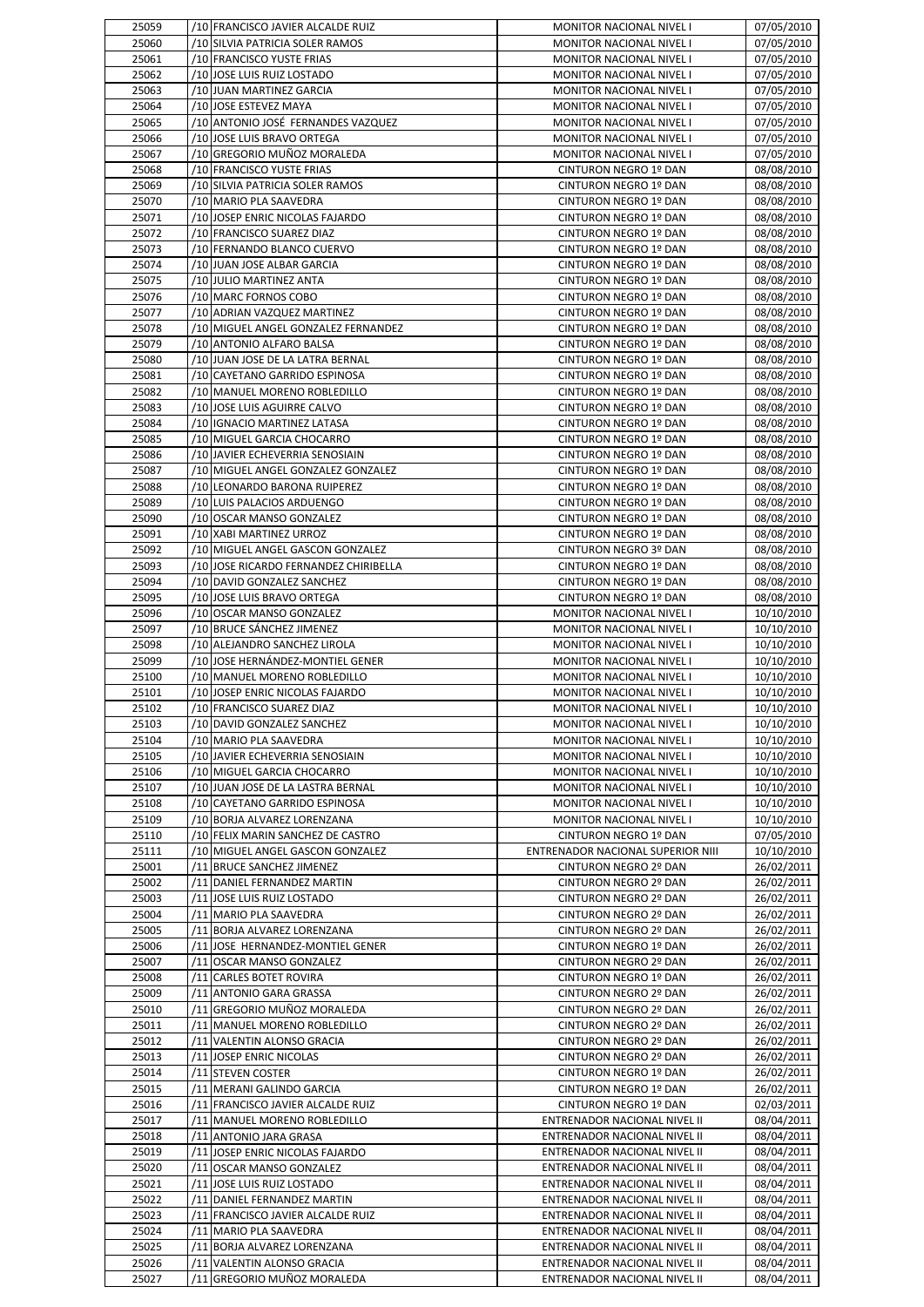| 25059          | /10 FRANCISCO JAVIER ALCALDE RUIZ                                 | MONITOR NACIONAL NIVEL I                                     | 07/05/2010               |
|----------------|-------------------------------------------------------------------|--------------------------------------------------------------|--------------------------|
| 25060          | /10 SILVIA PATRICIA SOLER RAMOS                                   | MONITOR NACIONAL NIVEL I                                     | 07/05/2010               |
| 25061          | /10 FRANCISCO YUSTE FRIAS                                         | MONITOR NACIONAL NIVEL I                                     | 07/05/2010               |
| 25062          | /10 JOSE LUIS RUIZ LOSTADO                                        | MONITOR NACIONAL NIVEL I                                     | 07/05/2010               |
| 25063<br>25064 | /10 JUAN MARTINEZ GARCIA<br>/10 JOSE ESTEVEZ MAYA                 | MONITOR NACIONAL NIVEL I<br>MONITOR NACIONAL NIVEL I         | 07/05/2010<br>07/05/2010 |
| 25065          | /10 ANTONIO JOSÉ FERNANDES VAZQUEZ                                | <b>MONITOR NACIONAL NIVEL I</b>                              | 07/05/2010               |
| 25066          | /10 JOSE LUIS BRAVO ORTEGA                                        | <b>MONITOR NACIONAL NIVEL I</b>                              | 07/05/2010               |
| 25067          | /10 GREGORIO MUÑOZ MORALEDA                                       | MONITOR NACIONAL NIVEL I                                     | 07/05/2010               |
| 25068          | /10 FRANCISCO YUSTE FRIAS                                         | CINTURON NEGRO 1º DAN                                        | 08/08/2010               |
| 25069          | /10 SILVIA PATRICIA SOLER RAMOS                                   | CINTURON NEGRO 1º DAN                                        | 08/08/2010               |
| 25070          | /10 MARIO PLA SAAVEDRA                                            | CINTURON NEGRO 1º DAN                                        | 08/08/2010               |
| 25071<br>25072 | /10 JOSEP ENRIC NICOLAS FAJARDO<br>/10 FRANCISCO SUAREZ DIAZ      | CINTURON NEGRO 1º DAN<br>CINTURON NEGRO 1º DAN               | 08/08/2010<br>08/08/2010 |
| 25073          | /10 FERNANDO BLANCO CUERVO                                        | CINTURON NEGRO 1º DAN                                        | 08/08/2010               |
| 25074          | /10 JUAN JOSE ALBAR GARCIA                                        | CINTURON NEGRO 1º DAN                                        | 08/08/2010               |
| 25075          | /10 JULIO MARTINEZ ANTA                                           | CINTURON NEGRO 1º DAN                                        | 08/08/2010               |
| 25076          | /10 MARC FORNOS COBO                                              | CINTURON NEGRO 1º DAN                                        | 08/08/2010               |
| 25077          | /10 ADRIAN VAZQUEZ MARTINEZ                                       | CINTURON NEGRO 1º DAN                                        | 08/08/2010               |
| 25078          | /10 MIGUEL ANGEL GONZALEZ FERNANDEZ                               | CINTURON NEGRO 1º DAN                                        | 08/08/2010               |
| 25079          | /10 ANTONIO ALFARO BALSA                                          | CINTURON NEGRO 1º DAN                                        | 08/08/2010               |
| 25080<br>25081 | /10 JUAN JOSE DE LA LATRA BERNAL<br>/10 CAYETANO GARRIDO ESPINOSA | CINTURON NEGRO 1º DAN<br>CINTURON NEGRO 1º DAN               | 08/08/2010<br>08/08/2010 |
| 25082          | /10 MANUEL MORENO ROBLEDILLO                                      | CINTURON NEGRO 1º DAN                                        | 08/08/2010               |
| 25083          | /10 JOSE LUIS AGUIRRE CALVO                                       | CINTURON NEGRO 1º DAN                                        | 08/08/2010               |
| 25084          | /10 IGNACIO MARTINEZ LATASA                                       | CINTURON NEGRO 1º DAN                                        | 08/08/2010               |
| 25085          | /10 MIGUEL GARCIA CHOCARRO                                        | CINTURON NEGRO 1º DAN                                        | 08/08/2010               |
| 25086          | /10 JAVIER ECHEVERRIA SENOSIAIN                                   | CINTURON NEGRO 1º DAN                                        | 08/08/2010               |
| 25087          | /10 MIGUEL ANGEL GONZALEZ GONZALEZ                                | CINTURON NEGRO 1º DAN                                        | 08/08/2010               |
| 25088          | /10 LEONARDO BARONA RUIPEREZ                                      | CINTURON NEGRO 1º DAN                                        | 08/08/2010               |
| 25089<br>25090 | /10 LUIS PALACIOS ARDUENGO<br>/10 OSCAR MANSO GONZALEZ            | CINTURON NEGRO 1º DAN<br>CINTURON NEGRO 1º DAN               | 08/08/2010               |
| 25091          | /10 XABI MARTINEZ URROZ                                           | CINTURON NEGRO 1º DAN                                        | 08/08/2010<br>08/08/2010 |
| 25092          | /10 MIGUEL ANGEL GASCON GONZALEZ                                  | CINTURON NEGRO 3º DAN                                        | 08/08/2010               |
| 25093          | /10 JOSE RICARDO FERNANDEZ CHIRIBELLA                             | CINTURON NEGRO 1º DAN                                        | 08/08/2010               |
| 25094          | /10 DAVID GONZALEZ SANCHEZ                                        | CINTURON NEGRO 1º DAN                                        | 08/08/2010               |
| 25095          | /10 JOSE LUIS BRAVO ORTEGA                                        | CINTURON NEGRO 1º DAN                                        | 08/08/2010               |
| 25096          | /10 OSCAR MANSO GONZALEZ                                          | MONITOR NACIONAL NIVEL I                                     | 10/10/2010               |
| 25097          | /10 BRUCE SÁNCHEZ JIMENEZ                                         | MONITOR NACIONAL NIVEL I                                     | 10/10/2010               |
| 25098<br>25099 | /10 ALEJANDRO SANCHEZ LIROLA<br>/10 JOSE HERNÁNDEZ-MONTIEL GENER  | MONITOR NACIONAL NIVEL I<br>MONITOR NACIONAL NIVEL I         | 10/10/2010<br>10/10/2010 |
|                |                                                                   |                                                              |                          |
|                |                                                                   |                                                              |                          |
| 25100<br>25101 | /10 MANUEL MORENO ROBLEDILLO<br>/10 JOSEP ENRIC NICOLAS FAJARDO   | MONITOR NACIONAL NIVEL I<br>MONITOR NACIONAL NIVEL I         | 10/10/2010<br>10/10/2010 |
| 25102          | /10 FRANCISCO SUAREZ DIAZ                                         | <b>MONITOR NACIONAL NIVEL I</b>                              | 10/10/2010               |
| 25103          | /10 DAVID GONZALEZ SANCHEZ                                        | MONITOR NACIONAL NIVEL I                                     | 10/10/2010               |
| 25104          | /10 MARIO PLA SAAVEDRA                                            | MONITOR NACIONAL NIVEL I                                     | 10/10/2010               |
| 25105          | /10 JAVIER ECHEVERRIA SENOSIAIN                                   | MONITOR NACIONAL NIVEL I                                     | 10/10/2010               |
| 25106          | /10 MIGUEL GARCIA CHOCARRO                                        | MONITOR NACIONAL NIVEL I                                     | 10/10/2010               |
| 25107          | /10 JUAN JOSE DE LA LASTRA BERNAL                                 | MONITOR NACIONAL NIVEL I                                     | 10/10/2010               |
| 25108<br>25109 | /10 CAYETANO GARRIDO ESPINOSA<br>/10 BORJA ALVAREZ LORENZANA      | MONITOR NACIONAL NIVEL I<br>MONITOR NACIONAL NIVEL I         | 10/10/2010<br>10/10/2010 |
| 25110          | /10 FELIX MARIN SANCHEZ DE CASTRO                                 | CINTURON NEGRO 1º DAN                                        | 07/05/2010               |
| 25111          | /10 MIGUEL ANGEL GASCON GONZALEZ                                  | ENTRENADOR NACIONAL SUPERIOR NIII                            | 10/10/2010               |
| 25001          | /11 BRUCE SANCHEZ JIMENEZ                                         | CINTURON NEGRO 2º DAN                                        | 26/02/2011               |
| 25002          | /11 DANIEL FERNANDEZ MARTIN                                       | CINTURON NEGRO 2º DAN                                        | 26/02/2011               |
| 25003          | /11 JOSE LUIS RUIZ LOSTADO                                        | CINTURON NEGRO 2º DAN                                        | 26/02/2011               |
| 25004          | /11 MARIO PLA SAAVEDRA                                            | CINTURON NEGRO 2º DAN                                        | 26/02/2011               |
| 25005<br>25006 | /11 BORJA ALVAREZ LORENZANA<br>/11 JOSE HERNANDEZ-MONTIEL GENER   | CINTURON NEGRO 2º DAN<br>CINTURON NEGRO 1º DAN               | 26/02/2011               |
| 25007          | /11 OSCAR MANSO GONZALEZ                                          | CINTURON NEGRO 2º DAN                                        | 26/02/2011<br>26/02/2011 |
| 25008          | /11 CARLES BOTET ROVIRA                                           | CINTURON NEGRO 1º DAN                                        | 26/02/2011               |
| 25009          | /11 ANTONIO GARA GRASSA                                           | CINTURON NEGRO 2º DAN                                        | 26/02/2011               |
| 25010          | /11 GREGORIO MUÑOZ MORALEDA                                       | CINTURON NEGRO 2º DAN                                        | 26/02/2011               |
| 25011          | /11 MANUEL MORENO ROBLEDILLO                                      | CINTURON NEGRO 2º DAN                                        | 26/02/2011               |
| 25012          | /11 VALENTIN ALONSO GRACIA                                        | CINTURON NEGRO 2º DAN                                        | 26/02/2011               |
| 25013          | /11 JOSEP ENRIC NICOLAS                                           | CINTURON NEGRO 2º DAN                                        | 26/02/2011               |
| 25014<br>25015 | /11 STEVEN COSTER<br>/11 MERANI GALINDO GARCIA                    | CINTURON NEGRO 1º DAN<br>CINTURON NEGRO 1º DAN               | 26/02/2011<br>26/02/2011 |
| 25016          | /11 FRANCISCO JAVIER ALCALDE RUIZ                                 | CINTURON NEGRO 1º DAN                                        | 02/03/2011               |
| 25017          | /11 MANUEL MORENO ROBLEDILLO                                      | ENTRENADOR NACIONAL NIVEL II                                 | 08/04/2011               |
| 25018          | /11 ANTONIO JARA GRASA                                            | ENTRENADOR NACIONAL NIVEL II                                 | 08/04/2011               |
| 25019          | /11 JOSEP ENRIC NICOLAS FAJARDO                                   | ENTRENADOR NACIONAL NIVEL II                                 | 08/04/2011               |
| 25020          | /11 OSCAR MANSO GONZALEZ                                          | ENTRENADOR NACIONAL NIVEL II                                 | 08/04/2011               |
| 25021          | /11 JOSE LUIS RUIZ LOSTADO                                        | ENTRENADOR NACIONAL NIVEL II                                 | 08/04/2011               |
| 25022          | /11 DANIEL FERNANDEZ MARTIN                                       | ENTRENADOR NACIONAL NIVEL II                                 | 08/04/2011               |
| 25023<br>25024 | /11 FRANCISCO JAVIER ALCALDE RUIZ<br>/11 MARIO PLA SAAVEDRA       | ENTRENADOR NACIONAL NIVEL II<br>ENTRENADOR NACIONAL NIVEL II | 08/04/2011<br>08/04/2011 |
| 25025          | /11 BORJA ALVAREZ LORENZANA                                       | ENTRENADOR NACIONAL NIVEL II                                 | 08/04/2011               |
| 25026          | /11 VALENTIN ALONSO GRACIA<br>/11 GREGORIO MUÑOZ MORALEDA         | ENTRENADOR NACIONAL NIVEL II                                 | 08/04/2011               |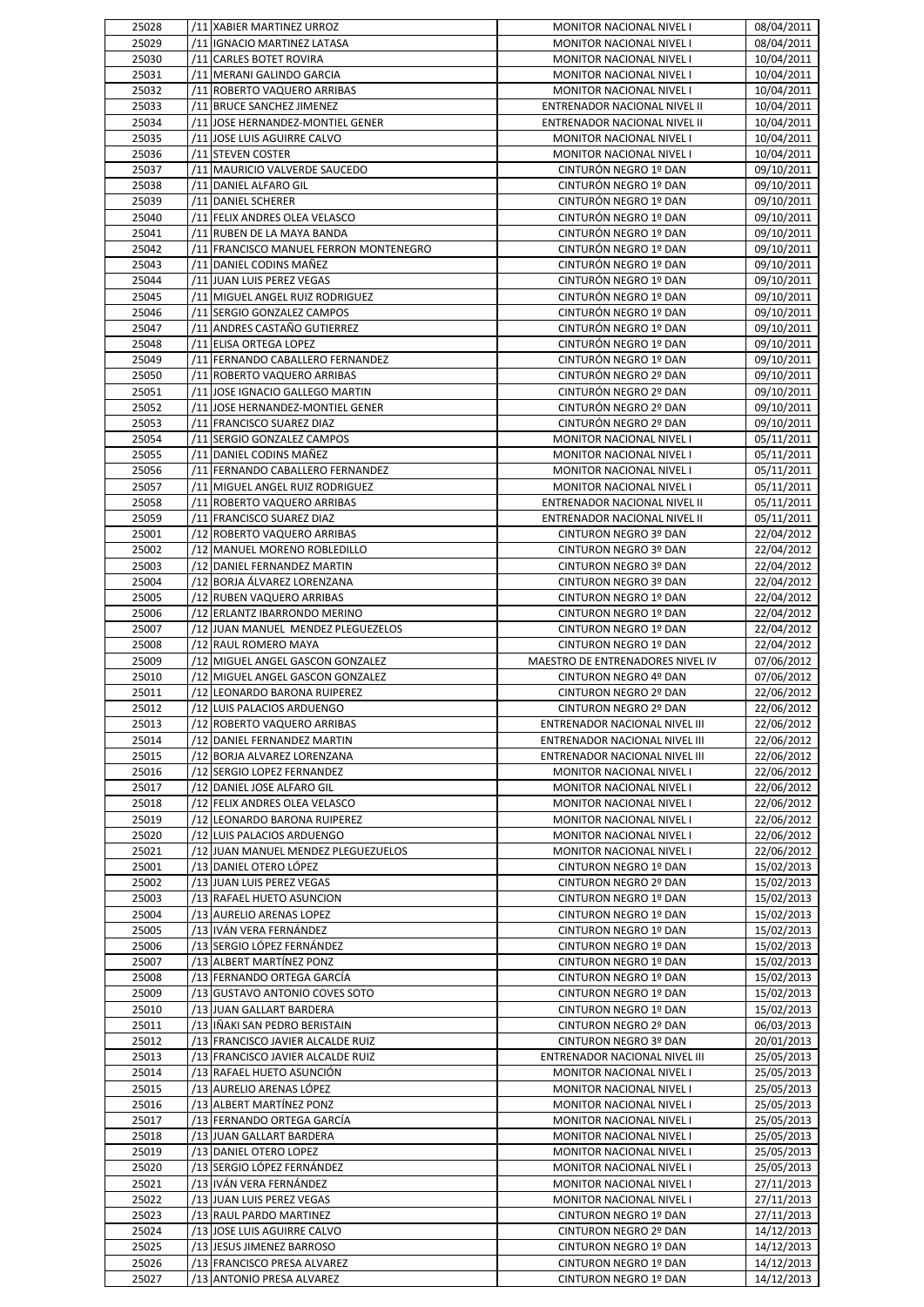| 25028          | /11 XABIER MARTINEZ URROZ                                | MONITOR NACIONAL NIVEL I                       | 08/04/2011               |
|----------------|----------------------------------------------------------|------------------------------------------------|--------------------------|
| 25029          | /11   IGNACIO MARTINEZ LATASA                            | MONITOR NACIONAL NIVEL I                       | 08/04/2011               |
| 25030          | /11 CARLES BOTET ROVIRA                                  | MONITOR NACIONAL NIVEL I                       | 10/04/2011               |
| 25031          | /11 MERANI GALINDO GARCIA                                | MONITOR NACIONAL NIVEL I                       | 10/04/2011               |
| 25032          | /11 ROBERTO VAQUERO ARRIBAS                              | MONITOR NACIONAL NIVEL I                       | 10/04/2011               |
| 25033          | /11 BRUCE SANCHEZ JIMENEZ                                | ENTRENADOR NACIONAL NIVEL II                   | 10/04/2011               |
| 25034          | /11 JOSE HERNANDEZ-MONTIEL GENER                         | ENTRENADOR NACIONAL NIVEL II                   | 10/04/2011               |
|                |                                                          |                                                |                          |
| 25035          | /11 JOSE LUIS AGUIRRE CALVO                              | MONITOR NACIONAL NIVEL I                       | 10/04/2011               |
| 25036          | /11 STEVEN COSTER                                        | MONITOR NACIONAL NIVEL I                       | 10/04/2011               |
| 25037          | /11 MAURICIO VALVERDE SAUCEDO                            | CINTURÓN NEGRO 1º DAN                          | 09/10/2011               |
| 25038          | /11 DANIEL ALFARO GIL                                    | CINTURÓN NEGRO 1º DAN                          | 09/10/2011               |
| 25039          | /11 DANIEL SCHERER                                       | CINTURÓN NEGRO 1º DAN                          | 09/10/2011               |
| 25040          | /11 FELIX ANDRES OLEA VELASCO                            | CINTURÓN NEGRO 1º DAN                          | 09/10/2011               |
| 25041          | /11 RUBEN DE LA MAYA BANDA                               | CINTURÓN NEGRO 1º DAN                          | 09/10/2011               |
| 25042          | /11 FRANCISCO MANUEL FERRON MONTENEGRO                   | CINTURÓN NEGRO 1º DAN                          | 09/10/2011               |
| 25043          | /11 DANIEL CODINS MAÑEZ                                  | CINTURÓN NEGRO 1º DAN                          | 09/10/2011               |
| 25044          | /11 JUAN LUIS PEREZ VEGAS                                | CINTURÓN NEGRO 1º DAN                          | 09/10/2011               |
| 25045          | /11 MIGUEL ANGEL RUIZ RODRIGUEZ                          | CINTURÓN NEGRO 1º DAN                          | 09/10/2011               |
| 25046          | /11 SERGIO GONZALEZ CAMPOS                               | CINTURÓN NEGRO 1º DAN                          | 09/10/2011               |
| 25047          | /11 ANDRES CASTAÑO GUTIERREZ                             | CINTURÓN NEGRO 1º DAN                          | 09/10/2011               |
| 25048          | /11 ELISA ORTEGA LOPEZ                                   | CINTURÓN NEGRO 1º DAN                          | 09/10/2011               |
| 25049          | /11 FERNANDO CABALLERO FERNANDEZ                         | CINTURÓN NEGRO 1º DAN                          | 09/10/2011               |
| 25050          | /11 ROBERTO VAQUERO ARRIBAS                              | CINTURÓN NEGRO 2º DAN                          | 09/10/2011               |
| 25051          | /11 JOSE IGNACIO GALLEGO MARTIN                          | CINTURÓN NEGRO 2º DAN                          | 09/10/2011               |
| 25052          | /11 JOSE HERNANDEZ-MONTIEL GENER                         | CINTURÓN NEGRO 2º DAN                          | 09/10/2011               |
| 25053          | /11 FRANCISCO SUAREZ DIAZ                                | CINTURÓN NEGRO 2º DAN                          | 09/10/2011               |
| 25054          | /11 SERGIO GONZALEZ CAMPOS                               | MONITOR NACIONAL NIVEL I                       | 05/11/2011               |
| 25055          | /11 DANIEL CODINS MAÑEZ                                  | MONITOR NACIONAL NIVEL I                       | 05/11/2011               |
|                |                                                          |                                                |                          |
| 25056          | /11 FERNANDO CABALLERO FERNANDEZ                         | MONITOR NACIONAL NIVEL I                       | 05/11/2011               |
| 25057          | /11 MIGUEL ANGEL RUIZ RODRIGUEZ                          | MONITOR NACIONAL NIVEL I                       | 05/11/2011               |
| 25058          | /11 ROBERTO VAQUERO ARRIBAS                              | ENTRENADOR NACIONAL NIVEL II                   | 05/11/2011               |
| 25059          | /11 FRANCISCO SUAREZ DIAZ                                | ENTRENADOR NACIONAL NIVEL II                   | 05/11/2011               |
| 25001          | /12 ROBERTO VAQUERO ARRIBAS                              | CINTURON NEGRO 3º DAN                          | 22/04/2012               |
| 25002          | /12 MANUEL MORENO ROBLEDILLO                             | CINTURON NEGRO 3º DAN                          | 22/04/2012               |
| 25003          | /12 DANIEL FERNANDEZ MARTIN                              | CINTURON NEGRO 3º DAN                          | 22/04/2012               |
| 25004          | /12 BORJA ÁLVAREZ LORENZANA                              | CINTURON NEGRO 3º DAN                          | 22/04/2012               |
| 25005          | /12 RUBEN VAQUERO ARRIBAS                                | CINTURON NEGRO 1º DAN                          | 22/04/2012               |
| 25006          | /12 ERLANTZ IBARRONDO MERINO                             | CINTURON NEGRO 1º DAN                          | 22/04/2012               |
| 25007          | /12 JUAN MANUEL MENDEZ PLEGUEZELOS                       | CINTURON NEGRO 1º DAN                          | 22/04/2012               |
| 25008          |                                                          |                                                | 22/04/2012               |
|                | /12 RAUL ROMERO MAYA                                     | CINTURON NEGRO 1º DAN                          |                          |
| 25009          | /12 MIGUEL ANGEL GASCON GONZALEZ                         | MAESTRO DE ENTRENADORES NIVEL IV               | 07/06/2012               |
| 25010          | /12 MIGUEL ANGEL GASCON GONZALEZ                         | CINTURON NEGRO 4º DAN                          | 07/06/2012               |
| 25011          | /12 LEONARDO BARONA RUIPEREZ                             | CINTURON NEGRO 2º DAN                          | 22/06/2012               |
| 25012          | /12 LUIS PALACIOS ARDUENGO                               | CINTURON NEGRO 2º DAN                          | 22/06/2012               |
| 25013          | /12 ROBERTO VAQUERO ARRIBAS                              | ENTRENADOR NACIONAL NIVEL III                  | 22/06/2012               |
| 25014          | /12 DANIEL FERNANDEZ MARTIN                              | ENTRENADOR NACIONAL NIVEL III                  | 22/06/2012               |
| 25015          | /12 BORJA ALVAREZ LORENZANA                              | ENTRENADOR NACIONAL NIVEL III                  | 22/06/2012               |
|                |                                                          |                                                |                          |
| 25016          | /12 SERGIO LOPEZ FERNANDEZ                               | MONITOR NACIONAL NIVEL I                       | 22/06/2012               |
| 25017          | /12 DANIEL JOSE ALFARO GIL                               | MONITOR NACIONAL NIVEL I                       | 22/06/2012               |
| 25018          | /12 FELIX ANDRES OLEA VELASCO                            | MONITOR NACIONAL NIVEL I                       | 22/06/2012               |
| 25019          | /12 LEONARDO BARONA RUIPEREZ                             | MONITOR NACIONAL NIVEL I                       | 22/06/2012               |
| 25020          | /12 LUIS PALACIOS ARDUENGO                               | MONITOR NACIONAL NIVEL I                       | 22/06/2012               |
| 25021          | /12 JUAN MANUEL MENDEZ PLEGUEZUELOS                      | MONITOR NACIONAL NIVEL I                       | 22/06/2012               |
| 25001          | /13 DANIEL OTERO LÓPEZ                                   | CINTURON NEGRO 1º DAN                          | 15/02/2013               |
| 25002          | /13 JUAN LUIS PEREZ VEGAS                                | CINTURON NEGRO 2º DAN                          | 15/02/2013               |
| 25003          | /13 RAFAEL HUETO ASUNCION                                | CINTURON NEGRO 1º DAN                          | 15/02/2013               |
| 25004          | /13 AURELIO ARENAS LOPEZ                                 | CINTURON NEGRO 1º DAN                          | 15/02/2013               |
| 25005          | /13 IVÁN VERA FERNÁNDEZ                                  | CINTURON NEGRO 1º DAN                          | 15/02/2013               |
| 25006          | /13 SERGIO LÓPEZ FERNÁNDEZ                               | CINTURON NEGRO 1º DAN                          | 15/02/2013               |
| 25007          | /13 ALBERT MARTÍNEZ PONZ                                 | CINTURON NEGRO 1º DAN                          | 15/02/2013               |
| 25008          | /13 FERNANDO ORTEGA GARCÍA                               | CINTURON NEGRO 1º DAN                          | 15/02/2013               |
| 25009          | /13 GUSTAVO ANTONIO COVES SOTO                           | CINTURON NEGRO 1º DAN                          | 15/02/2013               |
| 25010          | /13 JUAN GALLART BARDERA                                 | CINTURON NEGRO 1º DAN                          | 15/02/2013               |
| 25011          | /13 IÑAKI SAN PEDRO BERISTAIN                            | CINTURON NEGRO 2º DAN                          | 06/03/2013               |
| 25012          | /13 FRANCISCO JAVIER ALCALDE RUIZ                        | CINTURON NEGRO 3º DAN                          | 20/01/2013               |
| 25013          | /13 FRANCISCO JAVIER ALCALDE RUIZ                        | ENTRENADOR NACIONAL NIVEL III                  | 25/05/2013               |
| 25014          | /13 RAFAEL HUETO ASUNCIÓN                                | MONITOR NACIONAL NIVEL I                       | 25/05/2013               |
| 25015          | /13 AURELIO ARENAS LÓPEZ                                 | MONITOR NACIONAL NIVEL I                       | 25/05/2013               |
| 25016          | /13 ALBERT MARTÍNEZ PONZ                                 | MONITOR NACIONAL NIVEL I                       | 25/05/2013               |
| 25017          | /13 FERNANDO ORTEGA GARCÍA                               | MONITOR NACIONAL NIVEL I                       | 25/05/2013               |
| 25018          | /13 JUAN GALLART BARDERA                                 | MONITOR NACIONAL NIVEL I                       | 25/05/2013               |
| 25019          | /13 DANIEL OTERO LOPEZ                                   | MONITOR NACIONAL NIVEL I                       | 25/05/2013               |
| 25020          | /13 SERGIO LÓPEZ FERNÁNDEZ                               | MONITOR NACIONAL NIVEL I                       | 25/05/2013               |
|                |                                                          |                                                |                          |
| 25021          | /13 IVÁN VERA FERNÁNDEZ                                  | MONITOR NACIONAL NIVEL I                       | 27/11/2013               |
| 25022          | /13 JUAN LUIS PEREZ VEGAS                                | MONITOR NACIONAL NIVEL I                       | 27/11/2013               |
| 25023          | /13 RAUL PARDO MARTINEZ                                  | CINTURON NEGRO 1º DAN                          | 27/11/2013               |
| 25024          | /13 JOSE LUIS AGUIRRE CALVO                              | CINTURON NEGRO 2º DAN                          | 14/12/2013               |
| 25025          | /13 JESUS JIMENEZ BARROSO                                | CINTURON NEGRO 1º DAN                          | 14/12/2013               |
| 25026<br>25027 | /13 FRANCISCO PRESA ALVAREZ<br>/13 ANTONIO PRESA ALVAREZ | CINTURON NEGRO 1º DAN<br>CINTURON NEGRO 1º DAN | 14/12/2013<br>14/12/2013 |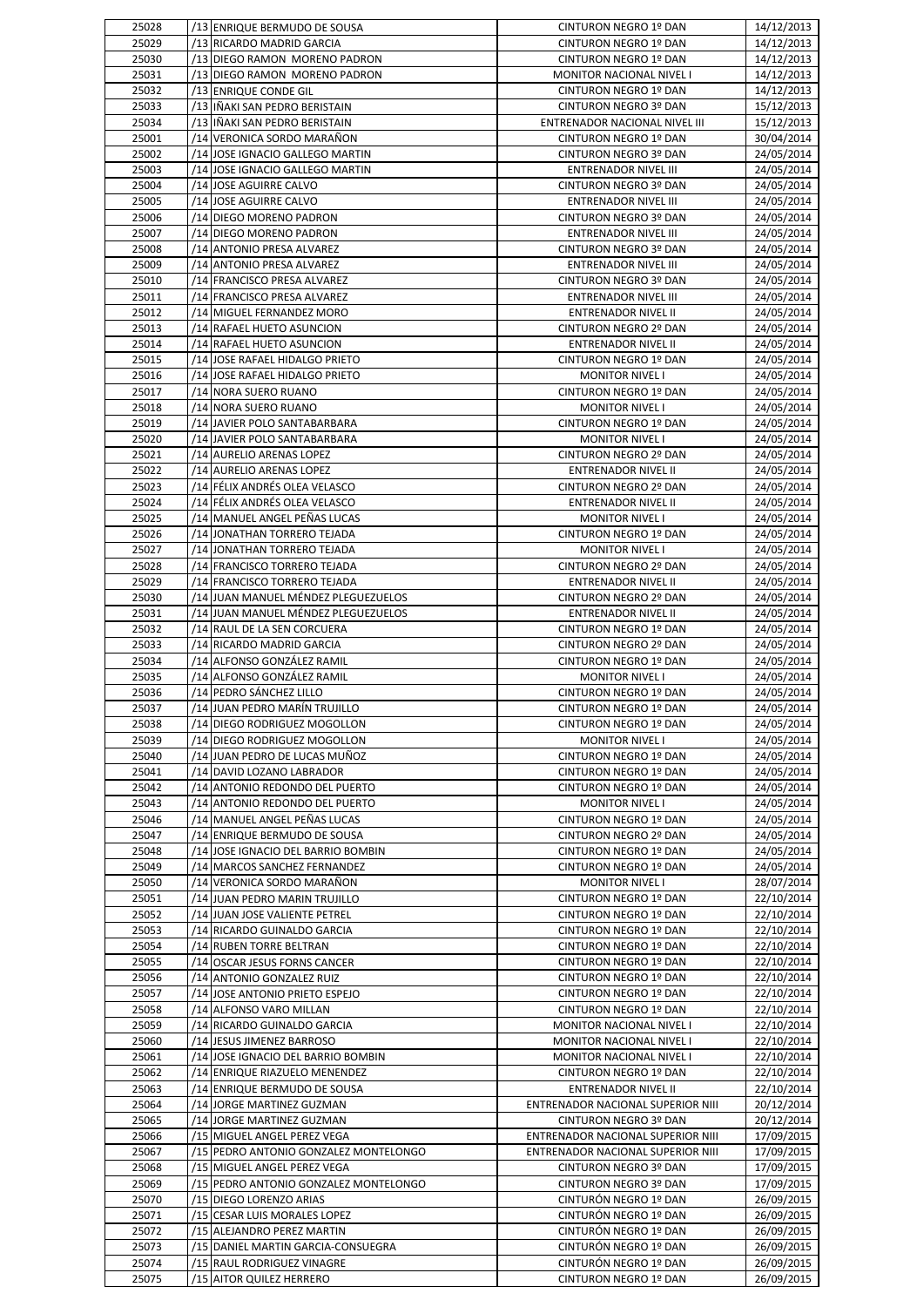| 25028          | /13 ENRIQUE BERMUDO DE SOUSA                                       | CINTURON NEGRO 1º DAN                                | 14/12/2013               |
|----------------|--------------------------------------------------------------------|------------------------------------------------------|--------------------------|
| 25029          | /13 RICARDO MADRID GARCIA                                          | CINTURON NEGRO 1º DAN                                | 14/12/2013               |
| 25030          | /13 DIEGO RAMON MORENO PADRON                                      | CINTURON NEGRO 1º DAN                                | 14/12/2013               |
| 25031          | /13 DIEGO RAMON MORENO PADRON                                      | MONITOR NACIONAL NIVEL I                             | 14/12/2013               |
| 25032<br>25033 | /13 ENRIQUE CONDE GIL<br>/13 IÑAKI SAN PEDRO BERISTAIN             | CINTURON NEGRO 1º DAN<br>CINTURON NEGRO 3º DAN       | 14/12/2013<br>15/12/2013 |
| 25034          | /13 IÑAKI SAN PEDRO BERISTAIN                                      | ENTRENADOR NACIONAL NIVEL III                        | 15/12/2013               |
| 25001          | /14 VERONICA SORDO MARAÑON                                         | CINTURON NEGRO 1º DAN                                | 30/04/2014               |
| 25002          | /14 JOSE IGNACIO GALLEGO MARTIN                                    | CINTURON NEGRO 3º DAN                                | 24/05/2014               |
| 25003          | /14 JOSE IGNACIO GALLEGO MARTIN                                    | <b>ENTRENADOR NIVEL III</b>                          | 24/05/2014               |
| 25004          | /14 JOSE AGUIRRE CALVO                                             | CINTURON NEGRO 3º DAN                                | 24/05/2014               |
| 25005          | /14 JOSE AGUIRRE CALVO                                             | ENTRENADOR NIVEL III                                 | 24/05/2014               |
| 25006          | /14 DIEGO MORENO PADRON                                            | CINTURON NEGRO 3º DAN                                | 24/05/2014               |
| 25007          | /14 DIEGO MORENO PADRON                                            | <b>ENTRENADOR NIVEL III</b>                          | 24/05/2014               |
| 25008          | /14 ANTONIO PRESA ALVAREZ                                          | CINTURON NEGRO 3º DAN                                | 24/05/2014               |
| 25009          | /14 ANTONIO PRESA ALVAREZ                                          | ENTRENADOR NIVEL III                                 | 24/05/2014               |
| 25010<br>25011 | /14 FRANCISCO PRESA ALVAREZ<br>/14 FRANCISCO PRESA ALVAREZ         | CINTURON NEGRO 3º DAN<br><b>ENTRENADOR NIVEL III</b> | 24/05/2014<br>24/05/2014 |
| 25012          | /14 MIGUEL FERNANDEZ MORO                                          | <b>ENTRENADOR NIVEL II</b>                           | 24/05/2014               |
| 25013          | /14 RAFAEL HUETO ASUNCION                                          | CINTURON NEGRO 2º DAN                                | 24/05/2014               |
| 25014          | /14 RAFAEL HUETO ASUNCION                                          | ENTRENADOR NIVEL II                                  | 24/05/2014               |
| 25015          | /14 JOSE RAFAEL HIDALGO PRIETO                                     | CINTURON NEGRO 1º DAN                                | 24/05/2014               |
| 25016          | /14 JOSE RAFAEL HIDALGO PRIETO                                     | <b>MONITOR NIVEL I</b>                               | 24/05/2014               |
| 25017          | /14 NORA SUERO RUANO                                               | CINTURON NEGRO 1º DAN                                | 24/05/2014               |
| 25018          | /14 NORA SUERO RUANO                                               | <b>MONITOR NIVEL I</b>                               | 24/05/2014               |
| 25019          | /14 JAVIER POLO SANTABARBARA                                       | CINTURON NEGRO 1º DAN                                | 24/05/2014               |
| 25020          | /14 JAVIER POLO SANTABARBARA                                       | <b>MONITOR NIVEL I</b>                               | 24/05/2014               |
| 25021          | /14 AURELIO ARENAS LOPEZ                                           | CINTURON NEGRO 2º DAN                                | 24/05/2014               |
| 25022<br>25023 | /14 AURELIO ARENAS LOPEZ<br>/14 FÉLIX ANDRÉS OLEA VELASCO          | <b>ENTRENADOR NIVEL II</b><br>CINTURON NEGRO 2º DAN  | 24/05/2014<br>24/05/2014 |
| 25024          | /14 FÉLIX ANDRÉS OLEA VELASCO                                      | <b>ENTRENADOR NIVEL II</b>                           | 24/05/2014               |
| 25025          | /14 MANUEL ANGEL PEÑAS LUCAS                                       | <b>MONITOR NIVEL I</b>                               | 24/05/2014               |
| 25026          | /14 JONATHAN TORRERO TEJADA                                        | CINTURON NEGRO 1º DAN                                | 24/05/2014               |
| 25027          | /14 JONATHAN TORRERO TEJADA                                        | <b>MONITOR NIVEL I</b>                               | 24/05/2014               |
| 25028          | /14 FRANCISCO TORRERO TEJADA                                       | CINTURON NEGRO 2º DAN                                | 24/05/2014               |
| 25029          | /14 FRANCISCO TORRERO TEJADA                                       | <b>ENTRENADOR NIVEL II</b>                           | 24/05/2014               |
| 25030          | /14 JUAN MANUEL MÉNDEZ PLEGUEZUELOS                                | CINTURON NEGRO 2º DAN                                | 24/05/2014               |
| 25031          | /14 JUAN MANUEL MÉNDEZ PLEGUEZUELOS                                | <b>ENTRENADOR NIVEL II</b>                           | 24/05/2014               |
| 25032          | /14 RAUL DE LA SEN CORCUERA                                        | CINTURON NEGRO 1º DAN                                | 24/05/2014               |
| 25033<br>25034 | /14 RICARDO MADRID GARCIA<br>/14 ALFONSO GONZÁLEZ RAMIL            | CINTURON NEGRO 2º DAN<br>CINTURON NEGRO 1º DAN       | 24/05/2014<br>24/05/2014 |
| 25035          | /14 ALFONSO GONZÁLEZ RAMIL                                         | <b>MONITOR NIVEL I</b>                               | 24/05/2014               |
| 25036          | /14 PEDRO SÁNCHEZ LILLO                                            | <b>CINTURON NEGRO 1º DAN</b>                         | 24/05/2014               |
| 25037          | /14 JUAN PEDRO MARÍN TRUJILLO                                      | <b>CINTURON NEGRO 1º DAN</b>                         | 24/05/2014               |
| 25038          | /14 DIEGO RODRIGUEZ MOGOLLON                                       | CINTURON NEGRO 1º DAN                                | 24/05/2014               |
| 25039          | /14 DIEGO RODRIGUEZ MOGOLLON                                       | <b>MONITOR NIVEL I</b>                               | 24/05/2014               |
| 25040          | /14 JUAN PEDRO DE LUCAS MUÑOZ                                      | CINTURON NEGRO 1º DAN                                | 24/05/2014               |
| 25041          | /14 DAVID LOZANO LABRADOR                                          | CINTURON NEGRO 1º DAN                                | 24/05/2014               |
| 25042          | /14 ANTONIO REDONDO DEL PUERTO                                     | CINTURON NEGRO 1º DAN                                | 24/05/2014               |
| 25043          | /14 ANTONIO REDONDO DEL PUERTO                                     | <b>MONITOR NIVEL I</b>                               | 24/05/2014               |
| 25046          | /14 MANUEL ANGEL PEÑAS LUCAS                                       | CINTURON NEGRO 1º DAN                                | 24/05/2014               |
| 25047<br>25048 | /14 ENRIQUE BERMUDO DE SOUSA<br>/14 JOSE IGNACIO DEL BARRIO BOMBIN | CINTURON NEGRO 2º DAN<br>CINTURON NEGRO 1º DAN       | 24/05/2014<br>24/05/2014 |
| 25049          | /14 MARCOS SANCHEZ FERNANDEZ                                       | CINTURON NEGRO 1º DAN                                | 24/05/2014               |
| 25050          | /14 VERONICA SORDO MARAÑON                                         | <b>MONITOR NIVEL I</b>                               | 28/07/2014               |
| 25051          | /14 JUAN PEDRO MARIN TRUJILLO                                      | CINTURON NEGRO 1º DAN                                | 22/10/2014               |
| 25052          | /14 JUAN JOSE VALIENTE PETREL                                      | CINTURON NEGRO 1º DAN                                | 22/10/2014               |
| 25053          | /14 RICARDO GUINALDO GARCIA                                        | CINTURON NEGRO 1º DAN                                | 22/10/2014               |
| 25054          | /14 RUBEN TORRE BELTRAN                                            | CINTURON NEGRO 1º DAN                                | 22/10/2014               |
| 25055          | /14 OSCAR JESUS FORNS CANCER                                       | CINTURON NEGRO 1º DAN                                | 22/10/2014               |
| 25056          | /14 ANTONIO GONZALEZ RUIZ                                          | CINTURON NEGRO 1º DAN                                | 22/10/2014               |
| 25057          | /14 JOSE ANTONIO PRIETO ESPEJO                                     | CINTURON NEGRO 1º DAN                                | 22/10/2014               |
| 25058          | /14 ALFONSO VARO MILLAN                                            | CINTURON NEGRO 1º DAN                                | 22/10/2014               |
| 25059<br>25060 | /14 RICARDO GUINALDO GARCIA<br>/14 JESUS JIMENEZ BARROSO           | MONITOR NACIONAL NIVEL I<br>MONITOR NACIONAL NIVEL I | 22/10/2014<br>22/10/2014 |
| 25061          | /14 JOSE IGNACIO DEL BARRIO BOMBIN                                 | MONITOR NACIONAL NIVEL I                             | 22/10/2014               |
| 25062          | /14 ENRIQUE RIAZUELO MENENDEZ                                      | CINTURON NEGRO 1º DAN                                | 22/10/2014               |
| 25063          | /14 ENRIQUE BERMUDO DE SOUSA                                       | <b>ENTRENADOR NIVEL II</b>                           | 22/10/2014               |
| 25064          | /14 JORGE MARTINEZ GUZMAN                                          | ENTRENADOR NACIONAL SUPERIOR NIII                    | 20/12/2014               |
| 25065          | /14 JORGE MARTINEZ GUZMAN                                          | CINTURON NEGRO 3º DAN                                | 20/12/2014               |
| 25066          | /15 MIGUEL ANGEL PEREZ VEGA                                        | ENTRENADOR NACIONAL SUPERIOR NIII                    | 17/09/2015               |
| 25067          | /15 PEDRO ANTONIO GONZALEZ MONTELONGO                              | ENTRENADOR NACIONAL SUPERIOR NIII                    | 17/09/2015               |
| 25068          | /15 MIGUEL ANGEL PEREZ VEGA                                        | CINTURON NEGRO 3º DAN                                | 17/09/2015               |
| 25069          | /15 PEDRO ANTONIO GONZALEZ MONTELONGO                              | CINTURON NEGRO 3º DAN                                | 17/09/2015               |
| 25070          | /15 DIEGO LORENZO ARIAS                                            | CINTURÓN NEGRO 1º DAN                                | 26/09/2015               |
| 25071          | /15 CESAR LUIS MORALES LOPEZ                                       | CINTURÓN NEGRO 1º DAN                                | 26/09/2015               |
| 25072<br>25073 | /15 ALEJANDRO PEREZ MARTIN<br>/15 DANIEL MARTIN GARCIA-CONSUEGRA   | CINTURÓN NEGRO 1º DAN<br>CINTURÓN NEGRO 1º DAN       | 26/09/2015<br>26/09/2015 |
| 25074          | /15 RAUL RODRIGUEZ VINAGRE                                         | CINTURÓN NEGRO 1º DAN                                | 26/09/2015               |
| 25075          | /15 AITOR QUILEZ HERRERO                                           | CINTURON NEGRO 1º DAN                                | 26/09/2015               |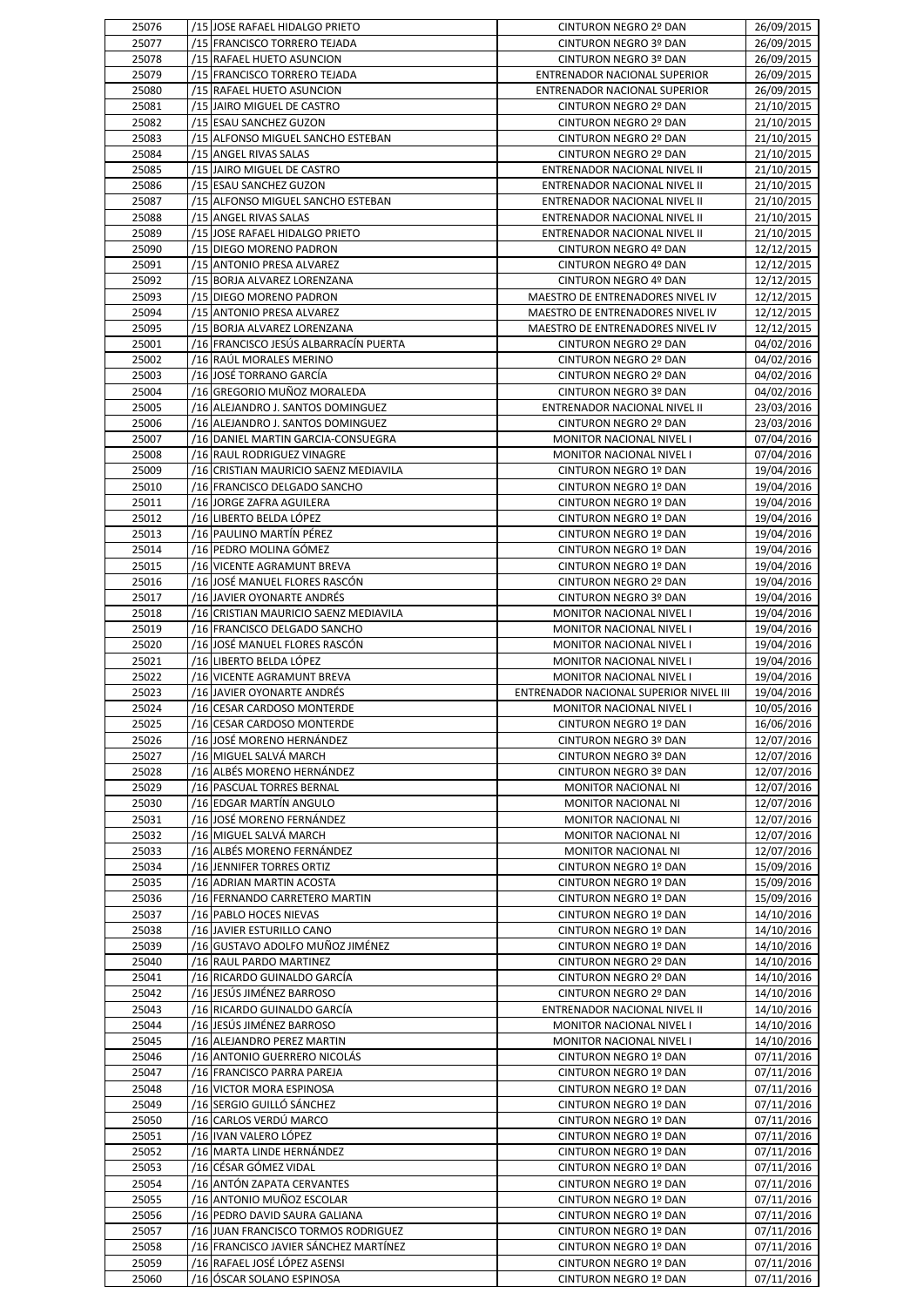| 25076          | /15 JOSE RAFAEL HIDALGO PRIETO                            | CINTURON NEGRO 2º DAN                          | 26/09/2015               |
|----------------|-----------------------------------------------------------|------------------------------------------------|--------------------------|
| 25077          | /15 FRANCISCO TORRERO TEJADA                              | CINTURON NEGRO 3º DAN                          | 26/09/2015               |
|                |                                                           |                                                |                          |
| 25078          | /15 RAFAEL HUETO ASUNCION                                 | CINTURON NEGRO 3º DAN                          | 26/09/2015               |
| 25079          | /15 FRANCISCO TORRERO TEJADA                              | ENTRENADOR NACIONAL SUPERIOR                   | 26/09/2015               |
| 25080          | /15 RAFAEL HUETO ASUNCION                                 | <b>ENTRENADOR NACIONAL SUPERIOR</b>            | 26/09/2015               |
| 25081          | /15 JAIRO MIGUEL DE CASTRO                                | CINTURON NEGRO 2º DAN                          | 21/10/2015               |
| 25082          | /15 ESAU SANCHEZ GUZON                                    | CINTURON NEGRO 2º DAN                          | 21/10/2015               |
| 25083          | /15 ALFONSO MIGUEL SANCHO ESTEBAN                         | CINTURON NEGRO 2º DAN                          | 21/10/2015               |
| 25084          | /15 ANGEL RIVAS SALAS                                     | CINTURON NEGRO 2º DAN                          | 21/10/2015               |
|                |                                                           |                                                |                          |
| 25085          | /15 JAIRO MIGUEL DE CASTRO                                | ENTRENADOR NACIONAL NIVEL II                   | 21/10/2015               |
| 25086          | /15 ESAU SANCHEZ GUZON                                    | ENTRENADOR NACIONAL NIVEL II                   | 21/10/2015               |
| 25087          | /15 ALFONSO MIGUEL SANCHO ESTEBAN                         | ENTRENADOR NACIONAL NIVEL II                   | 21/10/2015               |
| 25088          | /15 ANGEL RIVAS SALAS                                     | ENTRENADOR NACIONAL NIVEL II                   | 21/10/2015               |
| 25089          | /15 JOSE RAFAEL HIDALGO PRIETO                            | ENTRENADOR NACIONAL NIVEL II                   | 21/10/2015               |
| 25090          | /15 DIEGO MORENO PADRON                                   | CINTURON NEGRO 4º DAN                          | 12/12/2015               |
|                |                                                           |                                                |                          |
| 25091          | /15 ANTONIO PRESA ALVAREZ                                 | CINTURON NEGRO 4º DAN                          | 12/12/2015               |
| 25092          | /15 BORJA ALVAREZ LORENZANA                               | CINTURON NEGRO 4º DAN                          | 12/12/2015               |
| 25093          | /15 DIEGO MORENO PADRON                                   | MAESTRO DE ENTRENADORES NIVEL IV               | 12/12/2015               |
| 25094          | /15 ANTONIO PRESA ALVAREZ                                 | MAESTRO DE ENTRENADORES NIVEL IV               | 12/12/2015               |
| 25095          | /15 BORJA ALVAREZ LORENZANA                               | MAESTRO DE ENTRENADORES NIVEL IV               | 12/12/2015               |
| 25001          | /16 FRANCISCO JESÚS ALBARRACÍN PUERTA                     | CINTURON NEGRO 2º DAN                          | 04/02/2016               |
|                |                                                           | CINTURON NEGRO 2º DAN                          |                          |
| 25002          | /16 RAÚL MORALES MERINO                                   |                                                | 04/02/2016               |
| 25003          | /16 JOSÉ TORRANO GARCÍA                                   | CINTURON NEGRO 2º DAN                          | 04/02/2016               |
| 25004          | /16 GREGORIO MUÑOZ MORALEDA                               | CINTURON NEGRO 3º DAN                          | 04/02/2016               |
| 25005          | /16 ALEJANDRO J. SANTOS DOMINGUEZ                         | ENTRENADOR NACIONAL NIVEL II                   | 23/03/2016               |
| 25006          | /16 ALEJANDRO J. SANTOS DOMINGUEZ                         | CINTURON NEGRO 2º DAN                          | 23/03/2016               |
| 25007          | /16 DANIEL MARTIN GARCIA-CONSUEGRA                        | MONITOR NACIONAL NIVEL I                       | 07/04/2016               |
| 25008          |                                                           |                                                |                          |
|                | /16 RAUL RODRIGUEZ VINAGRE                                | MONITOR NACIONAL NIVEL I                       | 07/04/2016               |
| 25009          | /16 CRISTIAN MAURICIO SAENZ MEDIAVILA                     | CINTURON NEGRO 1º DAN                          | 19/04/2016               |
| 25010          | /16 FRANCISCO DELGADO SANCHO                              | CINTURON NEGRO 1º DAN                          | 19/04/2016               |
| 25011          | /16 JORGE ZAFRA AGUILERA                                  | CINTURON NEGRO 1º DAN                          | 19/04/2016               |
| 25012          | /16 LIBERTO BELDA LÓPEZ                                   | CINTURON NEGRO 1º DAN                          | 19/04/2016               |
| 25013          | /16 PAULINO MARTÍN PÉREZ                                  | CINTURON NEGRO 1º DAN                          | 19/04/2016               |
|                |                                                           |                                                |                          |
| 25014          | /16 PEDRO MOLINA GÓMEZ                                    | CINTURON NEGRO 1º DAN                          | 19/04/2016               |
| 25015          | /16 VICENTE AGRAMUNT BREVA                                | CINTURON NEGRO 1º DAN                          | 19/04/2016               |
| 25016          | /16 JOSÉ MANUEL FLORES RASCÓN                             | CINTURON NEGRO 2º DAN                          | 19/04/2016               |
| 25017          | /16 JAVIER OYONARTE ANDRÉS                                | CINTURON NEGRO 3º DAN                          | 19/04/2016               |
| 25018          | /16 CRISTIAN MAURICIO SAENZ MEDIAVILA                     | MONITOR NACIONAL NIVEL I                       | 19/04/2016               |
| 25019          | /16 FRANCISCO DELGADO SANCHO                              | MONITOR NACIONAL NIVEL I                       | 19/04/2016               |
| 25020          | /16 JOSÉ MANUEL FLORES RASCÓN                             | MONITOR NACIONAL NIVEL I                       | 19/04/2016               |
|                |                                                           |                                                |                          |
|                |                                                           |                                                |                          |
| 25021          | /16 LIBERTO BELDA LÓPEZ                                   | MONITOR NACIONAL NIVEL I                       | 19/04/2016               |
| 25022          | /16 VICENTE AGRAMUNT BREVA                                | MONITOR NACIONAL NIVEL I                       | 19/04/2016               |
| 25023          | /16 JAVIER OYONARTE ANDRÉS                                | ENTRENADOR NACIONAL SUPERIOR NIVEL III         | 19/04/2016               |
| 25024          | /16 CESAR CARDOSO MONTERDE                                | <b>MONITOR NACIONAL NIVEL I</b>                | 10/05/2016               |
| 25025          | /16 CESAR CARDOSO MONTERDE                                | CINTURON NEGRO 1º DAN                          | 16/06/2016               |
|                |                                                           |                                                |                          |
| 25026          | /16 JOSÉ MORENO HERNÁNDEZ                                 | CINTURON NEGRO 3º DAN                          | 12/07/2016               |
| 25027          | /16 MIGUEL SALVÁ MARCH                                    | CINTURON NEGRO 3º DAN                          | 12/07/2016               |
| 25028          | /16 ALBÉS MORENO HERNÁNDEZ                                | CINTURON NEGRO 3º DAN                          | 12/07/2016               |
| 25029          | /16 PASCUAL TORRES BERNAL                                 | MONITOR NACIONAL NI                            | 12/07/2016               |
| 25030          | /16 EDGAR MARTÍN ANGULO                                   | MONITOR NACIONAL NI                            | 12/07/2016               |
| 25031          | /16 JOSÉ MORENO FERNÁNDEZ                                 | MONITOR NACIONAL NI                            | 12/07/2016               |
|                |                                                           |                                                |                          |
| 25032          | /16 MIGUEL SALVÁ MARCH                                    | MONITOR NACIONAL NI                            | 12/07/2016               |
| 25033          | /16 ALBÉS MORENO FERNÁNDEZ                                | MONITOR NACIONAL NI                            | 12/07/2016               |
| 25034          | /16 JENNIFER TORRES ORTIZ                                 | CINTURON NEGRO 1º DAN                          | 15/09/2016               |
| 25035          | /16 ADRIAN MARTIN ACOSTA                                  | CINTURON NEGRO 1º DAN                          | 15/09/2016               |
| 25036          | /16 FERNANDO CARRETERO MARTIN                             | CINTURON NEGRO 1º DAN                          | 15/09/2016               |
| 25037          | /16 PABLO HOCES NIEVAS                                    | CINTURON NEGRO 1º DAN                          | 14/10/2016               |
| 25038          | /16 JAVIER ESTURILLO CANO                                 | CINTURON NEGRO 1º DAN                          | 14/10/2016               |
|                |                                                           |                                                |                          |
| 25039          | /16 GUSTAVO ADOLFO MUÑOZ JIMÉNEZ                          | CINTURON NEGRO 1º DAN                          | 14/10/2016               |
| 25040          | /16 RAUL PARDO MARTINEZ                                   | CINTURON NEGRO 2º DAN                          | 14/10/2016               |
| 25041          | /16 RICARDO GUINALDO GARCÍA                               | CINTURON NEGRO 2º DAN                          | 14/10/2016               |
| 25042          | /16 JESÚS JIMÉNEZ BARROSO                                 | CINTURON NEGRO 2º DAN                          | 14/10/2016               |
| 25043          | /16 RICARDO GUINALDO GARCÍA                               | ENTRENADOR NACIONAL NIVEL II                   | 14/10/2016               |
| 25044          | /16 JESÚS JIMÉNEZ BARROSO                                 | <b>MONITOR NACIONAL NIVEL I</b>                | 14/10/2016               |
|                |                                                           |                                                |                          |
| 25045          | /16 ALEJANDRO PEREZ MARTIN                                | MONITOR NACIONAL NIVEL I                       | 14/10/2016               |
| 25046          | /16 ANTONIO GUERRERO NICOLÁS                              | CINTURON NEGRO 1º DAN                          | 07/11/2016               |
| 25047          | /16 FRANCISCO PARRA PAREJA                                | CINTURON NEGRO 1º DAN                          | 07/11/2016               |
| 25048          | /16 VICTOR MORA ESPINOSA                                  | CINTURON NEGRO 1º DAN                          | 07/11/2016               |
| 25049          | /16 SERGIO GUILLÓ SÁNCHEZ                                 | CINTURON NEGRO 1º DAN                          | 07/11/2016               |
| 25050          | /16 CARLOS VERDÚ MARCO                                    | CINTURON NEGRO 1º DAN                          | 07/11/2016               |
|                |                                                           |                                                |                          |
| 25051          | /16 IVAN VALERO LÓPEZ                                     | CINTURON NEGRO 1º DAN                          | 07/11/2016               |
| 25052          | /16 MARTA LINDE HERNÁNDEZ                                 | CINTURON NEGRO 1º DAN                          | 07/11/2016               |
| 25053          | /16 CÉSAR GÓMEZ VIDAL                                     | CINTURON NEGRO 1º DAN                          | 07/11/2016               |
| 25054          | /16 ANTÓN ZAPATA CERVANTES                                | CINTURON NEGRO 1º DAN                          | 07/11/2016               |
| 25055          | /16 ANTONIO MUÑOZ ESCOLAR                                 | CINTURON NEGRO 1º DAN                          | 07/11/2016               |
| 25056          | /16 PEDRO DAVID SAURA GALIANA                             | CINTURON NEGRO 1º DAN                          | 07/11/2016               |
|                |                                                           |                                                |                          |
| 25057          | /16 JUAN FRANCISCO TORMOS RODRIGUEZ                       | CINTURON NEGRO 1º DAN                          | 07/11/2016               |
| 25058          | /16 FRANCISCO JAVIER SÁNCHEZ MARTÍNEZ                     | CINTURON NEGRO 1º DAN                          | 07/11/2016               |
| 25059<br>25060 | /16 RAFAEL JOSÉ LÓPEZ ASENSI<br>/16 ÓSCAR SOLANO ESPINOSA | CINTURON NEGRO 1º DAN<br>CINTURON NEGRO 1º DAN | 07/11/2016<br>07/11/2016 |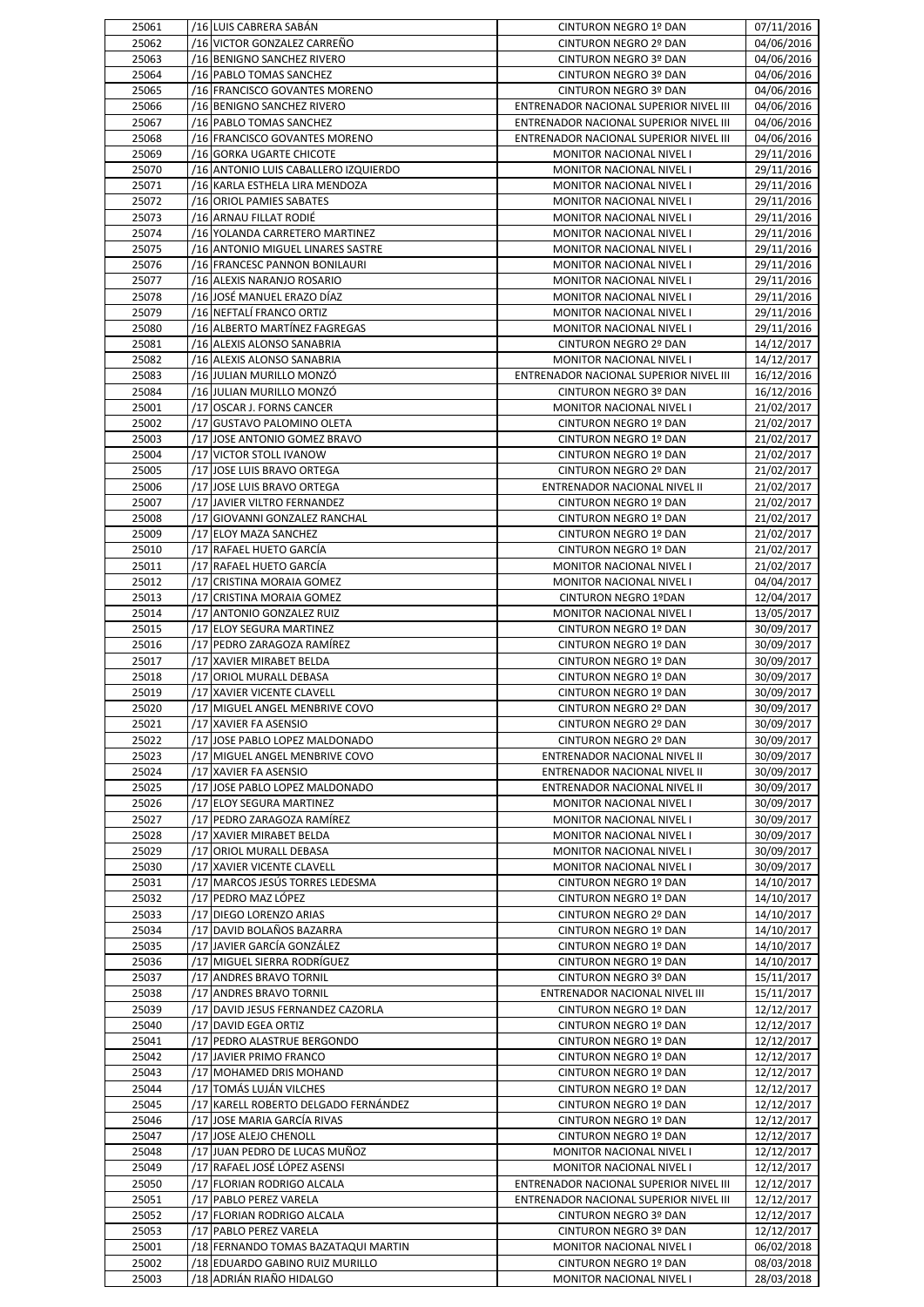| 25061          | /16 LUIS CABRERA SABÁN                                           | CINTURON NEGRO 1º DAN                                    | 07/11/2016               |
|----------------|------------------------------------------------------------------|----------------------------------------------------------|--------------------------|
| 25062          | /16 VICTOR GONZALEZ CARREÑO                                      | CINTURON NEGRO 2º DAN                                    | 04/06/2016               |
| 25063          | /16 BENIGNO SANCHEZ RIVERO                                       | CINTURON NEGRO 3º DAN                                    | 04/06/2016               |
| 25064          | /16 PABLO TOMAS SANCHEZ                                          | CINTURON NEGRO 3º DAN                                    | 04/06/2016               |
| 25065          | /16 FRANCISCO GOVANTES MORENO                                    | CINTURON NEGRO 3º DAN                                    | 04/06/2016               |
| 25066          | /16 BENIGNO SANCHEZ RIVERO                                       | ENTRENADOR NACIONAL SUPERIOR NIVEL III                   | 04/06/2016               |
| 25067          | /16 PABLO TOMAS SANCHEZ                                          | ENTRENADOR NACIONAL SUPERIOR NIVEL III                   | 04/06/2016               |
| 25068          | /16 FRANCISCO GOVANTES MORENO                                    | ENTRENADOR NACIONAL SUPERIOR NIVEL III                   | 04/06/2016               |
| 25069          | /16 GORKA UGARTE CHICOTE                                         | MONITOR NACIONAL NIVEL I                                 | 29/11/2016               |
| 25070          | /16 ANTONIO LUIS CABALLERO IZQUIERDO                             | MONITOR NACIONAL NIVEL I                                 | 29/11/2016<br>29/11/2016 |
| 25071<br>25072 | /16 KARLA ESTHELA LIRA MENDOZA<br>/16 ORIOL PAMIES SABATES       | MONITOR NACIONAL NIVEL I<br>MONITOR NACIONAL NIVEL I     | 29/11/2016               |
| 25073          | /16 ARNAU FILLAT RODIÉ                                           | MONITOR NACIONAL NIVEL I                                 | 29/11/2016               |
| 25074          | /16 YOLANDA CARRETERO MARTINEZ                                   | MONITOR NACIONAL NIVEL I                                 | 29/11/2016               |
| 25075          | /16 ANTONIO MIGUEL LINARES SASTRE                                | MONITOR NACIONAL NIVEL I                                 | 29/11/2016               |
| 25076          | /16 FRANCESC PANNON BONILAURI                                    | MONITOR NACIONAL NIVEL I                                 | 29/11/2016               |
| 25077          | /16 ALEXIS NARANJO ROSARIO                                       | MONITOR NACIONAL NIVEL I                                 | 29/11/2016               |
| 25078          | /16 JOSÉ MANUEL ERAZO DÍAZ                                       | MONITOR NACIONAL NIVEL I                                 | 29/11/2016               |
| 25079          | /16 NEFTALÍ FRANCO ORTIZ                                         | MONITOR NACIONAL NIVEL I                                 | 29/11/2016               |
| 25080          | /16 ALBERTO MARTÍNEZ FAGREGAS                                    | MONITOR NACIONAL NIVEL I                                 | 29/11/2016               |
| 25081          | /16 ALEXIS ALONSO SANABRIA                                       | CINTURON NEGRO 2º DAN                                    | 14/12/2017               |
| 25082          | /16 ALEXIS ALONSO SANABRIA                                       | MONITOR NACIONAL NIVEL I                                 | 14/12/2017               |
| 25083          | /16 JULIAN MURILLO MONZÓ                                         | ENTRENADOR NACIONAL SUPERIOR NIVEL III                   | 16/12/2016               |
| 25084          | /16 JULIAN MURILLO MONZÓ                                         | CINTURON NEGRO 3º DAN                                    | 16/12/2016               |
| 25001          | /17 OSCAR J. FORNS CANCER                                        | MONITOR NACIONAL NIVEL I                                 | 21/02/2017               |
| 25002          | /17 GUSTAVO PALOMINO OLETA                                       | CINTURON NEGRO 1º DAN                                    | 21/02/2017               |
| 25003          | /17 JOSE ANTONIO GOMEZ BRAVO                                     | CINTURON NEGRO 1º DAN                                    | 21/02/2017               |
| 25004          | /17 VICTOR STOLL IVANOW                                          | CINTURON NEGRO 1º DAN                                    | 21/02/2017               |
| 25005<br>25006 | /17 JOSE LUIS BRAVO ORTEGA<br>/17 JOSE LUIS BRAVO ORTEGA         | CINTURON NEGRO 2º DAN<br>ENTRENADOR NACIONAL NIVEL II    | 21/02/2017               |
| 25007          | /17 JAVIER VILTRO FERNANDEZ                                      | CINTURON NEGRO 1º DAN                                    | 21/02/2017<br>21/02/2017 |
| 25008          | /17 GIOVANNI GONZALEZ RANCHAL                                    | CINTURON NEGRO 1º DAN                                    | 21/02/2017               |
| 25009          | /17 ELOY MAZA SANCHEZ                                            | CINTURON NEGRO 1º DAN                                    | 21/02/2017               |
| 25010          | /17 RAFAEL HUETO GARCÍA                                          | CINTURON NEGRO 1º DAN                                    | 21/02/2017               |
| 25011          | /17 RAFAEL HUETO GARCÍA                                          | MONITOR NACIONAL NIVEL I                                 | 21/02/2017               |
| 25012          | /17 CRISTINA MORAIA GOMEZ                                        | MONITOR NACIONAL NIVEL I                                 | 04/04/2017               |
| 25013          | /17 CRISTINA MORAIA GOMEZ                                        | CINTURON NEGRO 1ºDAN                                     | 12/04/2017               |
| 25014          | /17 ANTONIO GONZALEZ RUIZ                                        | MONITOR NACIONAL NIVEL I                                 | 13/05/2017               |
| 25015          | /17 ELOY SEGURA MARTINEZ                                         | CINTURON NEGRO 1º DAN                                    | 30/09/2017               |
| 25016          | /17 PEDRO ZARAGOZA RAMÍREZ                                       | CINTURON NEGRO 1º DAN                                    | 30/09/2017               |
| 25017          | /17 XAVIER MIRABET BELDA                                         | CINTURON NEGRO 1º DAN                                    | 30/09/2017               |
| 25018          | /17 ORIOL MURALL DEBASA                                          | CINTURON NEGRO 1º DAN                                    | 30/09/2017               |
| 25019          | /17 XAVIER VICENTE CLAVELL                                       | CINTURON NEGRO 1º DAN                                    | 30/09/2017               |
| 25020          | /17 MIGUEL ANGEL MENBRIVE COVO                                   | CINTURON NEGRO 2º DAN                                    | 30/09/2017               |
| 25021          | /17 XAVIER FA ASENSIO                                            | CINTURON NEGRO 2º DAN                                    | 30/09/2017<br>30/09/2017 |
| 25022<br>25023 | /17 JOSE PABLO LOPEZ MALDONADO<br>/17 MIGUEL ANGEL MENBRIVE COVO | CINTURON NEGRO 2º DAN<br>ENTRENADOR NACIONAL NIVEL II    | 30/09/2017               |
| 25024          | /17 XAVIER FA ASENSIO                                            | ENTRENADOR NACIONAL NIVEL II                             | 30/09/2017               |
| 25025          | /17 JOSE PABLO LOPEZ MALDONADO                                   | ENTRENADOR NACIONAL NIVEL II                             | 30/09/2017               |
| 25026          | /17 ELOY SEGURA MARTINEZ                                         | MONITOR NACIONAL NIVEL I                                 | 30/09/2017               |
| 25027          | /17 PEDRO ZARAGOZA RAMÍREZ                                       | MONITOR NACIONAL NIVEL I                                 | 30/09/2017               |
| 25028          | /17 XAVIER MIRABET BELDA                                         | MONITOR NACIONAL NIVEL I                                 | 30/09/2017               |
| 25029          | /17 ORIOL MURALL DEBASA                                          | MONITOR NACIONAL NIVEL I                                 | 30/09/2017               |
| 25030          | /17 XAVIER VICENTE CLAVELL                                       | MONITOR NACIONAL NIVEL I                                 | 30/09/2017               |
| 25031          | /17 MARCOS JESÚS TORRES LEDESMA                                  | CINTURON NEGRO 1º DAN                                    | 14/10/2017               |
| 25032          | /17 PEDRO MAZ LÓPEZ                                              | CINTURON NEGRO 1º DAN                                    | 14/10/2017               |
| 25033          | /17 DIEGO LORENZO ARIAS                                          | CINTURON NEGRO 2º DAN                                    | 14/10/2017               |
| 25034          | /17 DAVID BOLAÑOS BAZARRA                                        | CINTURON NEGRO 1º DAN                                    | 14/10/2017               |
| 25035          | /17 JAVIER GARCÍA GONZÁLEZ                                       | CINTURON NEGRO 1º DAN                                    | 14/10/2017               |
| 25036          | /17 MIGUEL SIERRA RODRÍGUEZ                                      | CINTURON NEGRO 1º DAN                                    | 14/10/2017               |
| 25037          | /17 ANDRES BRAVO TORNIL                                          | CINTURON NEGRO 3º DAN                                    | 15/11/2017               |
| 25038          | /17 ANDRES BRAVO TORNIL<br>/17 DAVID JESUS FERNANDEZ CAZORLA     | ENTRENADOR NACIONAL NIVEL III                            | 15/11/2017<br>12/12/2017 |
| 25039<br>25040 | /17 DAVID EGEA ORTIZ                                             | CINTURON NEGRO 1º DAN<br>CINTURON NEGRO 1º DAN           | 12/12/2017               |
| 25041          | /17 PEDRO ALASTRUE BERGONDO                                      | CINTURON NEGRO 1º DAN                                    | 12/12/2017               |
| 25042          | /17 JAVIER PRIMO FRANCO                                          | CINTURON NEGRO 1º DAN                                    | 12/12/2017               |
| 25043          | /17 MOHAMED DRIS MOHAND                                          | CINTURON NEGRO 1º DAN                                    | 12/12/2017               |
| 25044          | /17 TOMÁS LUJÁN VILCHES                                          | CINTURON NEGRO 1º DAN                                    | 12/12/2017               |
| 25045          | /17 KARELL ROBERTO DELGADO FERNÁNDEZ                             | CINTURON NEGRO 1º DAN                                    | 12/12/2017               |
| 25046          | /17 JOSE MARIA GARCÍA RIVAS                                      | CINTURON NEGRO 1º DAN                                    | 12/12/2017               |
| 25047          | /17 JOSE ALEJO CHENOLL                                           | CINTURON NEGRO 1º DAN                                    | 12/12/2017               |
| 25048          | /17 JUAN PEDRO DE LUCAS MUÑOZ                                    | MONITOR NACIONAL NIVEL I                                 | 12/12/2017               |
| 25049          | /17 RAFAEL JOSÉ LÓPEZ ASENSI                                     | MONITOR NACIONAL NIVEL I                                 | 12/12/2017               |
| 25050          | /17 FLORIAN RODRIGO ALCALA                                       | ENTRENADOR NACIONAL SUPERIOR NIVEL III                   | 12/12/2017               |
| 25051          | /17 PABLO PEREZ VARELA                                           | ENTRENADOR NACIONAL SUPERIOR NIVEL III                   | 12/12/2017               |
| 25052          | /17 FLORIAN RODRIGO ALCALA                                       | CINTURON NEGRO 3º DAN                                    | 12/12/2017               |
| 25053<br>25001 | /17 PABLO PEREZ VARELA<br>/18 FERNANDO TOMAS BAZATAQUI MARTIN    | CINTURON NEGRO 3º DAN                                    | 12/12/2017               |
| 25002          | /18 EDUARDO GABINO RUIZ MURILLO                                  | MONITOR NACIONAL NIVEL I<br><b>CINTURON NEGRO 1º DAN</b> | 06/02/2018<br>08/03/2018 |
| 25003          | /18 ADRIÁN RIAÑO HIDALGO                                         | MONITOR NACIONAL NIVEL I                                 | 28/03/2018               |
|                |                                                                  |                                                          |                          |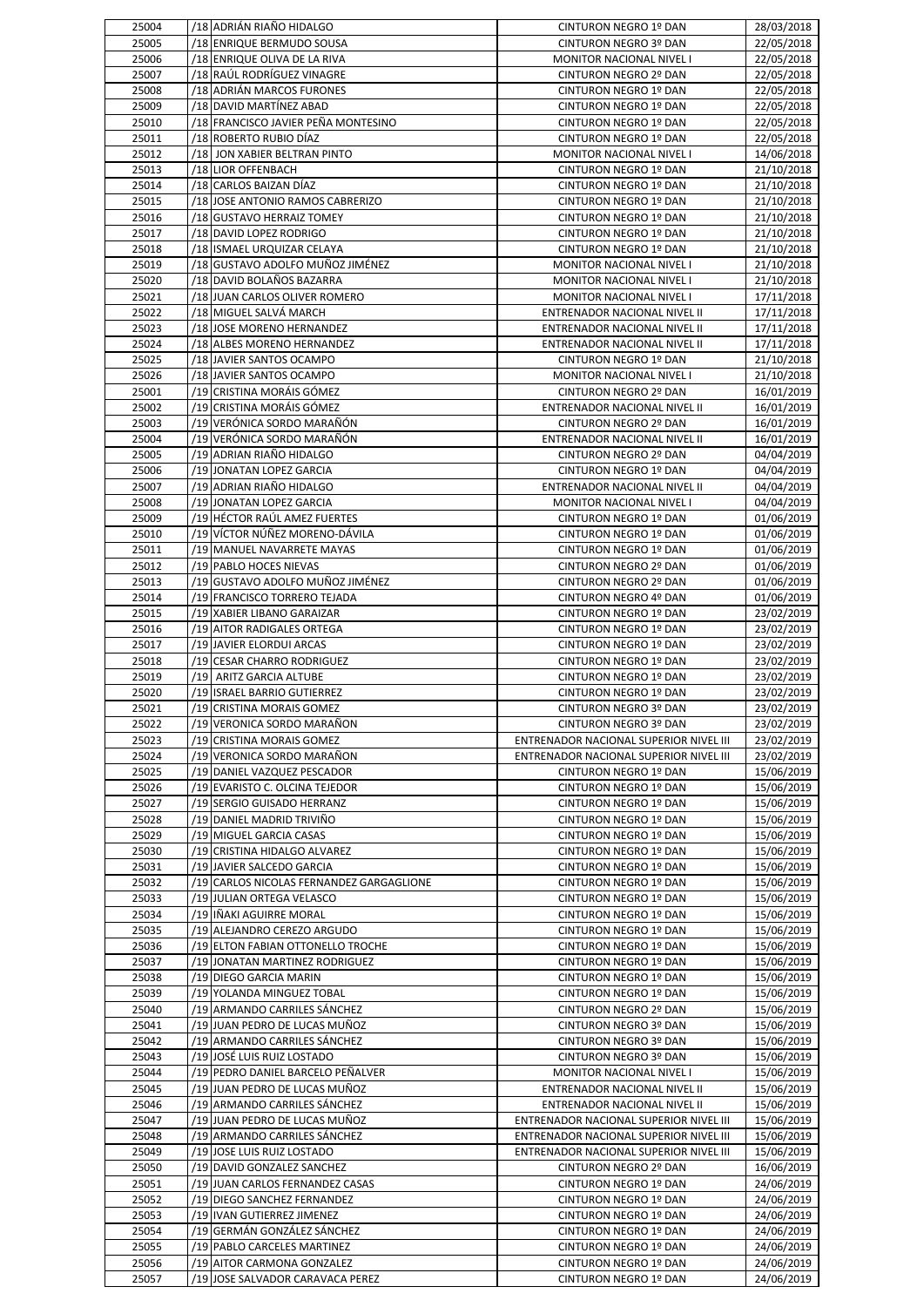| 25004          | /18 ADRIAN RIAÑO HIDALGO                                      | CINTURON NEGRO 1º DAN                                 | 28/03/2018               |
|----------------|---------------------------------------------------------------|-------------------------------------------------------|--------------------------|
| 25005          | /18 ENRIQUE BERMUDO SOUSA                                     | CINTURON NEGRO 3º DAN                                 | 22/05/2018               |
| 25006          | /18 ENRIQUE OLIVA DE LA RIVA                                  | MONITOR NACIONAL NIVEL I                              | 22/05/2018               |
| 25007          | /18 RAÚL RODRÍGUEZ VINAGRE                                    | CINTURON NEGRO 2º DAN                                 | 22/05/2018               |
| 25008<br>25009 | /18 ADRIAN MARCOS FURONES<br>/18 DAVID MARTÍNEZ ABAD          | CINTURON NEGRO 1º DAN<br>CINTURON NEGRO 1º DAN        | 22/05/2018<br>22/05/2018 |
| 25010          | /18 FRANCISCO JAVIER PEÑA MONTESINO                           | CINTURON NEGRO 1º DAN                                 | 22/05/2018               |
| 25011          | /18 ROBERTO RUBIO DÍAZ                                        | CINTURON NEGRO 1º DAN                                 | 22/05/2018               |
| 25012          | /18 JON XABIER BELTRAN PINTO                                  | MONITOR NACIONAL NIVEL I                              | 14/06/2018               |
| 25013          | /18 LIOR OFFENBACH                                            | CINTURON NEGRO 1º DAN                                 | 21/10/2018               |
| 25014          | /18 CARLOS BAIZAN DÍAZ                                        | CINTURON NEGRO 1º DAN                                 | 21/10/2018               |
| 25015          | /18 JOSE ANTONIO RAMOS CABRERIZO                              | CINTURON NEGRO 1º DAN                                 | 21/10/2018               |
| 25016          | /18 GUSTAVO HERRAIZ TOMEY                                     | CINTURON NEGRO 1º DAN                                 | 21/10/2018               |
| 25017          | /18 DAVID LOPEZ RODRIGO                                       | CINTURON NEGRO 1º DAN                                 | 21/10/2018               |
| 25018          | /18 ISMAEL URQUIZAR CELAYA                                    | CINTURON NEGRO 1º DAN                                 | 21/10/2018               |
| 25019<br>25020 | /18 GUSTAVO ADOLFO MUÑOZ JIMÉNEZ<br>/18 DAVID BOLAÑOS BAZARRA | MONITOR NACIONAL NIVEL I<br>MONITOR NACIONAL NIVEL I  | 21/10/2018<br>21/10/2018 |
| 25021          | /18 JUAN CARLOS OLIVER ROMERO                                 | MONITOR NACIONAL NIVEL I                              | 17/11/2018               |
| 25022          | /18 MIGUEL SALVÁ MARCH                                        | ENTRENADOR NACIONAL NIVEL II                          | 17/11/2018               |
| 25023          | /18 JOSE MORENO HERNANDEZ                                     | ENTRENADOR NACIONAL NIVEL II                          | 17/11/2018               |
| 25024          | /18 ALBES MORENO HERNANDEZ                                    | ENTRENADOR NACIONAL NIVEL II                          | 17/11/2018               |
| 25025          | /18 JAVIER SANTOS OCAMPO                                      | CINTURON NEGRO 1º DAN                                 | 21/10/2018               |
| 25026          | /18 JAVIER SANTOS OCAMPO                                      | <b>MONITOR NACIONAL NIVEL I</b>                       | 21/10/2018               |
| 25001          | /19 CRISTINA MORÁIS GÓMEZ                                     | CINTURON NEGRO 2º DAN                                 | 16/01/2019               |
| 25002          | /19 CRISTINA MORÁIS GÓMEZ                                     | ENTRENADOR NACIONAL NIVEL II                          | 16/01/2019               |
| 25003          | /19 VERÓNICA SORDO MARAÑÓN                                    | CINTURON NEGRO 2º DAN                                 | 16/01/2019               |
| 25004<br>25005 | /19 VERÓNICA SORDO MARAÑÓN<br>/19 ADRIAN RIAÑO HIDALGO        | ENTRENADOR NACIONAL NIVEL II<br>CINTURON NEGRO 2º DAN | 16/01/2019<br>04/04/2019 |
| 25006          | /19 JONATAN LOPEZ GARCIA                                      | CINTURON NEGRO 1º DAN                                 | 04/04/2019               |
| 25007          | /19 ADRIAN RIAÑO HIDALGO                                      | ENTRENADOR NACIONAL NIVEL II                          | 04/04/2019               |
| 25008          | /19 JONATAN LOPEZ GARCIA                                      | MONITOR NACIONAL NIVEL I                              | 04/04/2019               |
| 25009          | /19 HÉCTOR RAÚL AMEZ FUERTES                                  | CINTURON NEGRO 1º DAN                                 | 01/06/2019               |
| 25010          | /19 VÍCTOR NÚÑEZ MORENO-DÁVILA                                | CINTURON NEGRO 1º DAN                                 | 01/06/2019               |
| 25011          | /19 MANUEL NAVARRETE MAYAS                                    | CINTURON NEGRO 1º DAN                                 | 01/06/2019               |
| 25012          | /19 PABLO HOCES NIEVAS                                        | CINTURON NEGRO 2º DAN                                 | 01/06/2019               |
| 25013          | /19 GUSTAVO ADOLFO MUÑOZ JIMÉNEZ                              | CINTURON NEGRO 2º DAN                                 | 01/06/2019               |
| 25014          | /19 FRANCISCO TORRERO TEJADA                                  | CINTURON NEGRO 4º DAN                                 | 01/06/2019               |
| 25015          | /19 XABIER LIBANO GARAIZAR                                    | CINTURON NEGRO 1º DAN                                 | 23/02/2019               |
| 25016<br>25017 | /19 AITOR RADIGALES ORTEGA<br>/19 JAVIER ELORDUI ARCAS        | CINTURON NEGRO 1º DAN<br>CINTURON NEGRO 1º DAN        | 23/02/2019<br>23/02/2019 |
|                |                                                               |                                                       |                          |
|                |                                                               |                                                       |                          |
| 25018<br>25019 | /19 CESAR CHARRO RODRIGUEZ<br>/19 ARITZ GARCIA ALTUBE         | CINTURON NEGRO 1º DAN<br>CINTURON NEGRO 1º DAN        | 23/02/2019               |
| 25020          | /19 ISRAEL BARRIO GUTIERREZ                                   | CINTURON NEGRO 1º DAN                                 | 23/02/2019<br>23/02/2019 |
| 25021          | /19 CRISTINA MORAIS GOMEZ                                     | CINTURON NEGRO 3º DAN                                 | 23/02/2019               |
| 25022          | /19 VERONICA SORDO MARAÑON                                    | CINTURON NEGRO 3º DAN                                 | 23/02/2019               |
| 25023          | /19 CRISTINA MORAIS GOMEZ                                     | ENTRENADOR NACIONAL SUPERIOR NIVEL III                | 23/02/2019               |
| 25024          | /19 VERONICA SORDO MARAÑON                                    | ENTRENADOR NACIONAL SUPERIOR NIVEL III                | 23/02/2019               |
| 25025          | /19 DANIEL VAZQUEZ PESCADOR                                   | CINTURON NEGRO 1º DAN                                 | 15/06/2019               |
| 25026          | /19 EVARISTO C. OLCINA TEJEDOR                                | CINTURON NEGRO 1º DAN                                 | 15/06/2019               |
| 25027          | /19 SERGIO GUISADO HERRANZ                                    | CINTURON NEGRO 1º DAN                                 | 15/06/2019               |
| 25028          | /19 DANIEL MADRID TRIVIÑO                                     | CINTURON NEGRO 1º DAN                                 | 15/06/2019               |
| 25029<br>25030 | /19 MIGUEL GARCIA CASAS<br>/19 CRISTINA HIDALGO ALVAREZ       | CINTURON NEGRO 1º DAN<br>CINTURON NEGRO 1º DAN        | 15/06/2019<br>15/06/2019 |
| 25031          | /19 JAVIER SALCEDO GARCIA                                     | CINTURON NEGRO 1º DAN                                 | 15/06/2019               |
| 25032          | /19 CARLOS NICOLAS FERNANDEZ GARGAGLIONE                      | CINTURON NEGRO 1º DAN                                 | 15/06/2019               |
| 25033          | /19 JULIAN ORTEGA VELASCO                                     | CINTURON NEGRO 1º DAN                                 | 15/06/2019               |
| 25034          | /19 IÑAKI AGUIRRE MORAL                                       | CINTURON NEGRO 1º DAN                                 | 15/06/2019               |
| 25035          | /19 ALEJANDRO CEREZO ARGUDO                                   | CINTURON NEGRO 1º DAN                                 | 15/06/2019               |
| 25036          | /19 ELTON FABIAN OTTONELLO TROCHE                             | CINTURON NEGRO 1º DAN                                 | 15/06/2019               |
| 25037          | /19 JONATAN MARTINEZ RODRIGUEZ                                | CINTURON NEGRO 1º DAN                                 | 15/06/2019               |
| 25038          | /19 DIEGO GARCIA MARIN                                        | CINTURON NEGRO 1º DAN                                 | 15/06/2019               |
| 25039          | /19 YOLANDA MINGUEZ TOBAL                                     | CINTURON NEGRO 1º DAN                                 | 15/06/2019               |
| 25040          | /19 ARMANDO CARRILES SÁNCHEZ                                  | CINTURON NEGRO 2º DAN                                 | 15/06/2019               |
| 25041<br>25042 | /19 JUAN PEDRO DE LUCAS MUÑOZ<br>/19 ARMANDO CARRILES SÁNCHEZ | CINTURON NEGRO 3º DAN<br>CINTURON NEGRO 3º DAN        | 15/06/2019<br>15/06/2019 |
| 25043          | /19 JOSÉ LUIS RUIZ LOSTADO                                    | CINTURON NEGRO 3º DAN                                 | 15/06/2019               |
| 25044          | /19 PEDRO DANIEL BARCELO PEÑALVER                             | MONITOR NACIONAL NIVEL I                              | 15/06/2019               |
| 25045          | /19 JUAN PEDRO DE LUCAS MUÑOZ                                 | ENTRENADOR NACIONAL NIVEL II                          | 15/06/2019               |
| 25046          | /19 ARMANDO CARRILES SÁNCHEZ                                  | ENTRENADOR NACIONAL NIVEL II                          | 15/06/2019               |
| 25047          | /19 JUAN PEDRO DE LUCAS MUÑOZ                                 | ENTRENADOR NACIONAL SUPERIOR NIVEL III                | 15/06/2019               |
| 25048          | /19 ARMANDO CARRILES SÁNCHEZ                                  | ENTRENADOR NACIONAL SUPERIOR NIVEL III                | 15/06/2019               |
| 25049          | /19 JOSE LUIS RUIZ LOSTADO                                    | ENTRENADOR NACIONAL SUPERIOR NIVEL III                | 15/06/2019               |
| 25050          | /19 DAVID GONZALEZ SANCHEZ                                    | CINTURON NEGRO 2º DAN                                 | 16/06/2019               |
| 25051          | /19 JUAN CARLOS FERNANDEZ CASAS                               | CINTURON NEGRO 1º DAN                                 | 24/06/2019               |
| 25052          | /19 DIEGO SANCHEZ FERNANDEZ                                   | CINTURON NEGRO 1º DAN                                 | 24/06/2019               |
| 25053<br>25054 | /19 IVAN GUTIERREZ JIMENEZ<br>/19 GERMÁN GONZÁLEZ SÁNCHEZ     | CINTURON NEGRO 1º DAN<br>CINTURON NEGRO 1º DAN        | 24/06/2019<br>24/06/2019 |
| 25055          | /19 PABLO CARCELES MARTINEZ                                   | CINTURON NEGRO 1º DAN                                 | 24/06/2019               |
| 25056          | /19 AITOR CARMONA GONZALEZ                                    | CINTURON NEGRO 1º DAN                                 | 24/06/2019               |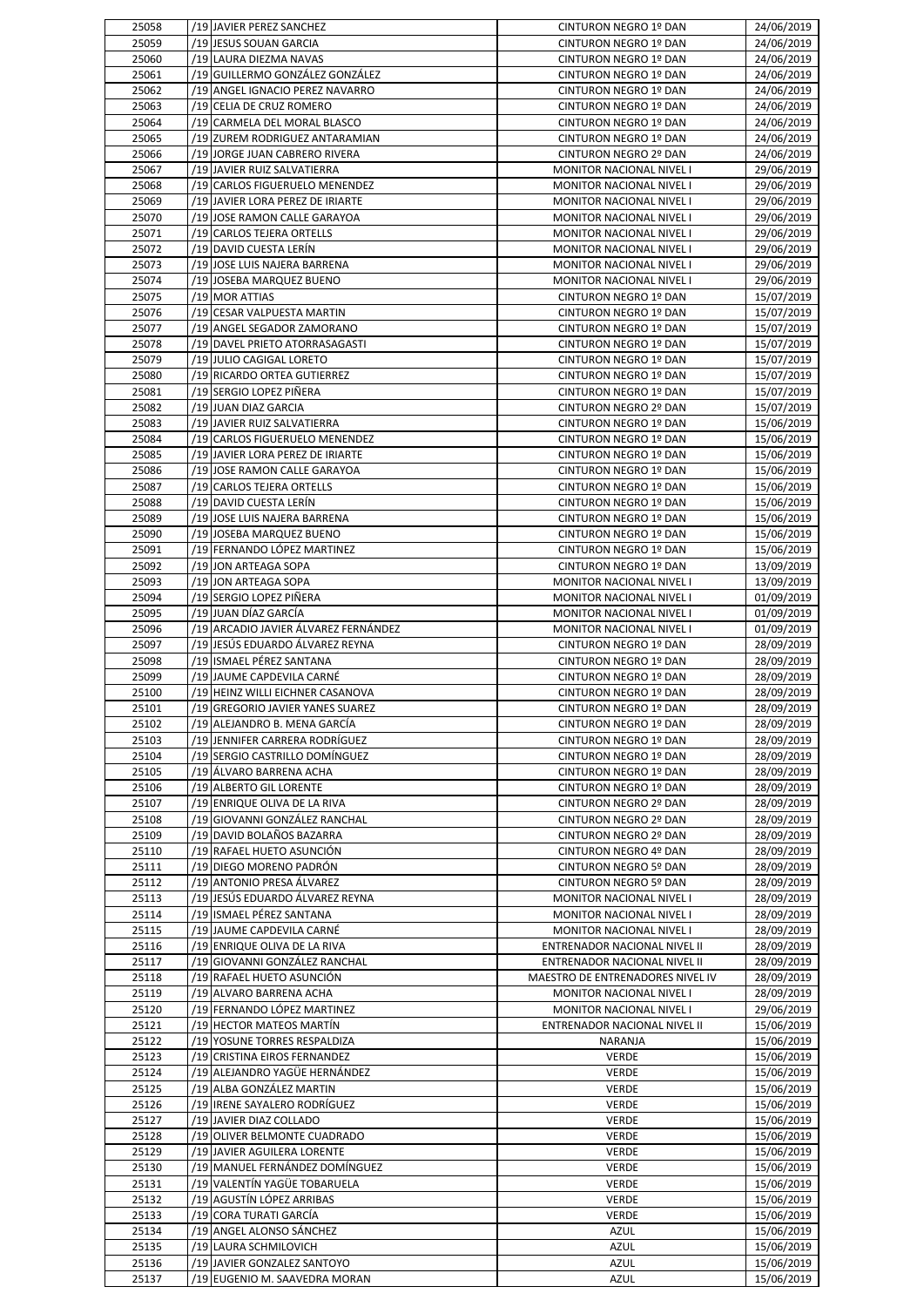| 25058          | /19 JAVIER PEREZ SANCHEZ                                     | CINTURON NEGRO 1º DAN            | 24/06/2019               |
|----------------|--------------------------------------------------------------|----------------------------------|--------------------------|
| 25059          | /19 JESUS SOUAN GARCIA                                       | CINTURON NEGRO 1º DAN            | 24/06/2019               |
| 25060          | /19 LAURA DIEZMA NAVAS                                       | CINTURON NEGRO 1º DAN            | 24/06/2019               |
|                |                                                              |                                  |                          |
| 25061          | /19 GUILLERMO GONZÁLEZ GONZÁLEZ                              | CINTURON NEGRO 1º DAN            | 24/06/2019               |
| 25062          | /19 ANGEL IGNACIO PEREZ NAVARRO                              | CINTURON NEGRO 1º DAN            | 24/06/2019               |
| 25063          | /19 CELIA DE CRUZ ROMERO                                     | CINTURON NEGRO 1º DAN            | 24/06/2019               |
| 25064          | /19 CARMELA DEL MORAL BLASCO                                 | CINTURON NEGRO 1º DAN            | 24/06/2019               |
| 25065          | /19 ZUREM RODRIGUEZ ANTARAMIAN                               | CINTURON NEGRO 1º DAN            | 24/06/2019               |
| 25066          | /19 JORGE JUAN CABRERO RIVERA                                | CINTURON NEGRO 2º DAN            | 24/06/2019               |
|                |                                                              |                                  |                          |
| 25067          | /19 JAVIER RUIZ SALVATIERRA                                  | MONITOR NACIONAL NIVEL I         | 29/06/2019               |
| 25068          | /19 CARLOS FIGUERUELO MENENDEZ                               | MONITOR NACIONAL NIVEL I         | 29/06/2019               |
| 25069          | /19 JAVIER LORA PEREZ DE IRIARTE                             | <b>MONITOR NACIONAL NIVEL I</b>  | 29/06/2019               |
| 25070          | /19 JOSE RAMON CALLE GARAYOA                                 | MONITOR NACIONAL NIVEL I         | 29/06/2019               |
| 25071          | /19 CARLOS TEJERA ORTELLS                                    | <b>MONITOR NACIONAL NIVEL I</b>  | 29/06/2019               |
| 25072          | /19 DAVID CUESTA LERÍN                                       | <b>MONITOR NACIONAL NIVEL I</b>  | 29/06/2019               |
|                |                                                              |                                  |                          |
| 25073          | /19 JOSE LUIS NAJERA BARRENA                                 | MONITOR NACIONAL NIVEL I         | 29/06/2019               |
| 25074          | /19 JOSEBA MARQUEZ BUENO                                     | MONITOR NACIONAL NIVEL I         | 29/06/2019               |
| 25075          | /19 MOR ATTIAS                                               | CINTURON NEGRO 1º DAN            | 15/07/2019               |
| 25076          | /19 CESAR VALPUESTA MARTIN                                   | CINTURON NEGRO 1º DAN            | 15/07/2019               |
| 25077          | /19 ANGEL SEGADOR ZAMORANO                                   | CINTURON NEGRO 1º DAN            | 15/07/2019               |
| 25078          | /19 DAVEL PRIETO ATORRASAGASTI                               | CINTURON NEGRO 1º DAN            | 15/07/2019               |
|                |                                                              |                                  |                          |
| 25079          | /19 JULIO CAGIGAL LORETO                                     | CINTURON NEGRO 1º DAN            | 15/07/2019               |
| 25080          | /19 RICARDO ORTEA GUTIERREZ                                  | CINTURON NEGRO 1º DAN            | 15/07/2019               |
| 25081          | /19 SERGIO LOPEZ PIÑERA                                      | CINTURON NEGRO 1º DAN            | 15/07/2019               |
| 25082          | /19 JUAN DIAZ GARCIA                                         | CINTURON NEGRO 2º DAN            | 15/07/2019               |
| 25083          | /19 JAVIER RUIZ SALVATIERRA                                  | CINTURON NEGRO 1º DAN            | 15/06/2019               |
| 25084          | /19 CARLOS FIGUERUELO MENENDEZ                               | CINTURON NEGRO 1º DAN            | 15/06/2019               |
| 25085          |                                                              |                                  |                          |
|                | /19 JAVIER LORA PEREZ DE IRIARTE                             | CINTURON NEGRO 1º DAN            | 15/06/2019               |
| 25086          | /19 JOSE RAMON CALLE GARAYOA                                 | CINTURON NEGRO 1º DAN            | 15/06/2019               |
| 25087          | /19 CARLOS TEJERA ORTELLS                                    | CINTURON NEGRO 1º DAN            | 15/06/2019               |
| 25088          | /19 DAVID CUESTA LERÍN                                       | CINTURON NEGRO 1º DAN            | 15/06/2019               |
| 25089          | /19 JOSE LUIS NAJERA BARRENA                                 | CINTURON NEGRO 1º DAN            | 15/06/2019               |
| 25090          | /19 JOSEBA MARQUEZ BUENO                                     | CINTURON NEGRO 1º DAN            | 15/06/2019               |
|                |                                                              |                                  |                          |
| 25091          | /19 FERNANDO LÓPEZ MARTINEZ                                  | CINTURON NEGRO 1º DAN            | 15/06/2019               |
| 25092          | /19 JON ARTEAGA SOPA                                         | CINTURON NEGRO 1º DAN            | 13/09/2019               |
| 25093          | /19 JON ARTEAGA SOPA                                         | MONITOR NACIONAL NIVEL I         | 13/09/2019               |
| 25094          | /19 SERGIO LOPEZ PIÑERA                                      | MONITOR NACIONAL NIVEL I         | 01/09/2019               |
| 25095          | /19 JUAN DÍAZ GARCÍA                                         | MONITOR NACIONAL NIVEL I         | 01/09/2019               |
| 25096          | /19 ARCADIO JAVIER ÁLVAREZ FERNÁNDEZ                         | MONITOR NACIONAL NIVEL I         | 01/09/2019               |
| 25097          | /19 JESÚS EDUARDO ÁLVAREZ REYNA                              | CINTURON NEGRO 1º DAN            | 28/09/2019               |
|                |                                                              |                                  |                          |
| 25098          | /19 ISMAEL PÉREZ SANTANA                                     | CINTURON NEGRO 1º DAN            | 28/09/2019               |
| 25099          | /19 JAUME CAPDEVILA CARNÉ                                    | CINTURON NEGRO 1º DAN            | 28/09/2019               |
| 25100          | /19 HEINZ WILLI EICHNER CASANOVA                             | CINTURON NEGRO 1º DAN            | 28/09/2019               |
| 25101          | /19 GREGORIO JAVIER YANES SUAREZ                             | CINTURON NEGRO 1º DAN            | 28/09/2019               |
| 25102          | /19 ALEJANDRO B. MENA GARCÍA                                 | CINTURON NEGRO 1º DAN            | 28/09/2019               |
|                | /19 JENNIFER CARRERA RODRÍGUEZ                               | CINTURON NEGRO 1º DAN            |                          |
|                |                                                              |                                  |                          |
| 25103          |                                                              |                                  | 28/09/2019               |
| 25104          | /19 SERGIO CASTRILLO DOMÍNGUEZ                               | CINTURON NEGRO 1º DAN            | 28/09/2019               |
| 25105          | /19 ÁLVARO BARRENA ACHA                                      | CINTURON NEGRO 1º DAN            | 28/09/2019               |
| 25106          | /19 ALBERTO GIL LORENTE                                      | CINTURON NEGRO 1º DAN            | 28/09/2019               |
| 25107          | /19 ENRIQUE OLIVA DE LA RIVA                                 | CINTURON NEGRO 2º DAN            | 28/09/2019               |
|                |                                                              |                                  |                          |
| 25108          | /19 GIOVANNI GONZÁLEZ RANCHAL                                | CINTURON NEGRO 2º DAN            | 28/09/2019               |
| 25109          | /19 DAVID BOLAÑOS BAZARRA                                    | CINTURON NEGRO 2º DAN            | 28/09/2019               |
| 25110          | /19 RAFAEL HUETO ASUNCIÓN                                    | CINTURON NEGRO 4º DAN            | 28/09/2019               |
| 25111          | /19 DIEGO MORENO PADRÓN                                      | CINTURON NEGRO 5º DAN            | 28/09/2019               |
| 25112          | /19 ANTONIO PRESA ÁLVAREZ                                    | CINTURON NEGRO 5º DAN            | 28/09/2019               |
| 25113          | /19 JESÚS EDUARDO ÁLVAREZ REYNA                              | MONITOR NACIONAL NIVEL I         | 28/09/2019               |
| 25114          | /19 ISMAEL PÉREZ SANTANA                                     | MONITOR NACIONAL NIVEL I         | 28/09/2019               |
|                |                                                              |                                  |                          |
| 25115          | /19 JAUME CAPDEVILA CARNÉ                                    | MONITOR NACIONAL NIVEL I         | 28/09/2019               |
| 25116          | /19 ENRIQUE OLIVA DE LA RIVA                                 | ENTRENADOR NACIONAL NIVEL II     | 28/09/2019               |
| 25117          | /19 GIOVANNI GONZÁLEZ RANCHAL                                | ENTRENADOR NACIONAL NIVEL II     | 28/09/2019               |
| 25118          | /19 RAFAEL HUETO ASUNCIÓN                                    | MAESTRO DE ENTRENADORES NIVEL IV | 28/09/2019               |
| 25119          | /19 ALVARO BARRENA ACHA                                      | MONITOR NACIONAL NIVEL I         | 28/09/2019               |
| 25120          | /19 FERNANDO LÓPEZ MARTINEZ                                  | MONITOR NACIONAL NIVEL I         | 29/06/2019               |
|                |                                                              |                                  |                          |
| 25121          | /19 HECTOR MATEOS MARTÍN                                     | ENTRENADOR NACIONAL NIVEL II     | 15/06/2019               |
| 25122          | /19 YOSUNE TORRES RESPALDIZA                                 | NARANJA                          | 15/06/2019               |
| 25123          | /19 CRISTINA EIROS FERNANDEZ                                 | <b>VERDE</b>                     | 15/06/2019               |
| 25124          | /19 ALEJANDRO YAGÜE HERNÁNDEZ                                | <b>VERDE</b>                     | 15/06/2019               |
| 25125          | /19 ALBA GONZÁLEZ MARTIN                                     | <b>VERDE</b>                     | 15/06/2019               |
| 25126          | /19 IRENE SAYALERO RODRÍGUEZ                                 | <b>VERDE</b>                     | 15/06/2019               |
| 25127          | /19 JAVIER DIAZ COLLADO                                      | <b>VERDE</b>                     |                          |
|                |                                                              |                                  | 15/06/2019               |
| 25128          | /19 OLIVER BELMONTE CUADRADO                                 | <b>VERDE</b>                     | 15/06/2019               |
| 25129          | /19 JAVIER AGUILERA LORENTE                                  | <b>VERDE</b>                     | 15/06/2019               |
| 25130          | /19 MANUEL FERNÁNDEZ DOMÍNGUEZ                               | <b>VERDE</b>                     | 15/06/2019               |
| 25131          | /19 VALENTÍN YAGÜE TOBARUELA                                 | VERDE                            | 15/06/2019               |
| 25132          | /19 AGUSTÍN LÓPEZ ARRIBAS                                    | <b>VERDE</b>                     | 15/06/2019               |
|                | /19 CORA TURATI GARCÍA                                       |                                  |                          |
| 25133          |                                                              | <b>VERDE</b>                     | 15/06/2019               |
| 25134          | /19 ANGEL ALONSO SÁNCHEZ                                     | <b>AZUL</b>                      | 15/06/2019               |
| 25135          | /19 LAURA SCHMILOVICH                                        | AZUL                             | 15/06/2019               |
| 25136<br>25137 | /19 JAVIER GONZALEZ SANTOYO<br>/19 EUGENIO M. SAAVEDRA MORAN | AZUL<br><b>AZUL</b>              | 15/06/2019<br>15/06/2019 |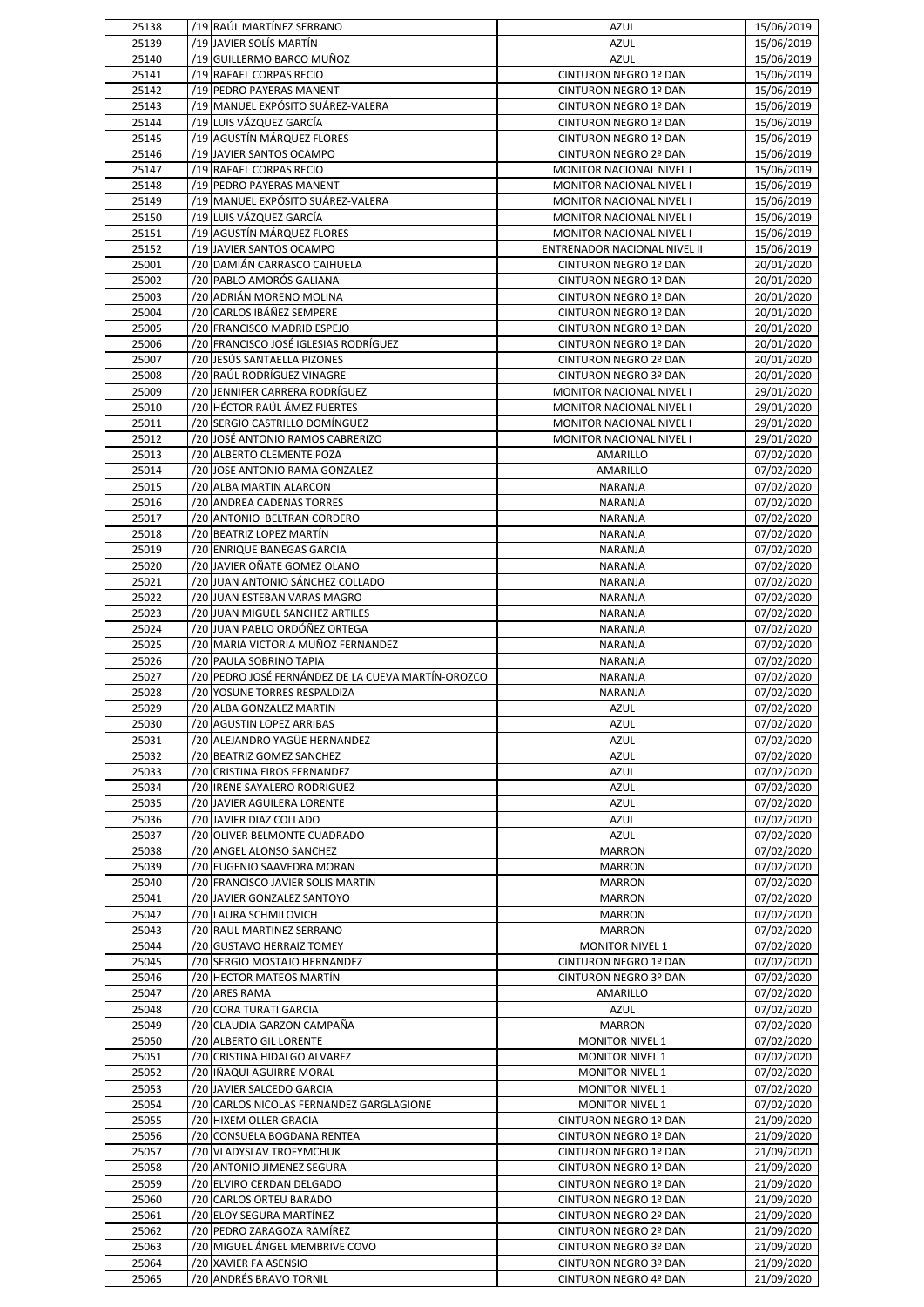| 25138          | /19 RAÚL MARTÍNEZ SERRANO                                       | AZUL                                                  | 15/06/2019               |
|----------------|-----------------------------------------------------------------|-------------------------------------------------------|--------------------------|
| 25139          | /19 JAVIER SOLÍS MARTÍN                                         | <b>AZUL</b>                                           | 15/06/2019               |
| 25140          | /19 GUILLERMO BARCO MUÑOZ                                       | <b>AZUL</b>                                           | 15/06/2019               |
| 25141<br>25142 | /19 RAFAEL CORPAS RECIO<br>/19 PEDRO PAYERAS MANENT             | CINTURON NEGRO 1º DAN                                 | 15/06/2019               |
| 25143          | /19 MANUEL EXPÓSITO SUÁREZ-VALERA                               | CINTURON NEGRO 1º DAN<br>CINTURON NEGRO 1º DAN        | 15/06/2019<br>15/06/2019 |
| 25144          | /19 LUIS VÁZQUEZ GARCÍA                                         | CINTURON NEGRO 1º DAN                                 | 15/06/2019               |
| 25145          | /19 AGUSTÍN MÁRQUEZ FLORES                                      | CINTURON NEGRO 1º DAN                                 | 15/06/2019               |
| 25146          | /19 JAVIER SANTOS OCAMPO                                        | CINTURON NEGRO 2º DAN                                 | 15/06/2019               |
| 25147          | /19 RAFAEL CORPAS RECIO                                         | MONITOR NACIONAL NIVEL I                              | 15/06/2019               |
| 25148          | /19 PEDRO PAYERAS MANENT                                        | MONITOR NACIONAL NIVEL I                              | 15/06/2019               |
| 25149          | /19 MANUEL EXPÓSITO SUÁREZ-VALERA                               | MONITOR NACIONAL NIVEL I                              | 15/06/2019               |
| 25150          | /19 LUIS VÁZQUEZ GARCÍA                                         | MONITOR NACIONAL NIVEL I                              | 15/06/2019               |
| 25151<br>25152 | /19 AGUSTÍN MÁRQUEZ FLORES<br>/19 JAVIER SANTOS OCAMPO          | MONITOR NACIONAL NIVEL I                              | 15/06/2019<br>15/06/2019 |
| 25001          | /20 DAMIÁN CARRASCO CAIHUELA                                    | ENTRENADOR NACIONAL NIVEL II<br>CINTURON NEGRO 1º DAN | 20/01/2020               |
| 25002          | /20 PABLO AMORÓS GALIANA                                        | CINTURON NEGRO 1º DAN                                 | 20/01/2020               |
| 25003          | /20 ADRIÁN MORENO MOLINA                                        | CINTURON NEGRO 1º DAN                                 | 20/01/2020               |
| 25004          | /20 CARLOS IBÁÑEZ SEMPERE                                       | CINTURON NEGRO 1º DAN                                 | 20/01/2020               |
| 25005          | /20 FRANCISCO MADRID ESPEJO                                     | CINTURON NEGRO 1º DAN                                 | 20/01/2020               |
| 25006          | /20 FRANCISCO JOSÉ IGLESIAS RODRÍGUEZ                           | CINTURON NEGRO 1º DAN                                 | 20/01/2020               |
| 25007          | /20 JESÚS SANTAELLA PIZONES                                     | CINTURON NEGRO 2º DAN                                 | 20/01/2020               |
| 25008          | /20 RAÚL RODRÍGUEZ VINAGRE                                      | CINTURON NEGRO 3º DAN                                 | 20/01/2020               |
| 25009          | /20 JENNIFER CARRERA RODRÍGUEZ                                  | MONITOR NACIONAL NIVEL I                              | 29/01/2020               |
| 25010<br>25011 | /20 HÉCTOR RAÚL ÁMEZ FUERTES<br>/20 SERGIO CASTRILLO DOMÍNGUEZ  | MONITOR NACIONAL NIVEL I<br>MONITOR NACIONAL NIVEL I  | 29/01/2020<br>29/01/2020 |
| 25012          | /20 JOSÉ ANTONIO RAMOS CABRERIZO                                | MONITOR NACIONAL NIVEL I                              | 29/01/2020               |
| 25013          | /20 ALBERTO CLEMENTE POZA                                       | AMARILLO                                              | 07/02/2020               |
| 25014          | /20 JOSE ANTONIO RAMA GONZALEZ                                  | AMARILLO                                              | 07/02/2020               |
| 25015          | /20 ALBA MARTIN ALARCON                                         | NARANJA                                               | 07/02/2020               |
| 25016          | /20 ANDREA CADENAS TORRES                                       | NARANJA                                               | 07/02/2020               |
| 25017          | /20 ANTONIO BELTRAN CORDERO                                     | NARANJA                                               | 07/02/2020               |
| 25018          | /20 BEATRIZ LOPEZ MARTÍN                                        | <b>NARANJA</b>                                        | 07/02/2020               |
| 25019          | /20 ENRIQUE BANEGAS GARCIA                                      | <b>NARANJA</b>                                        | 07/02/2020               |
| 25020          | /20 JAVIER OÑATE GOMEZ OLANO                                    | <b>NARANJA</b>                                        | 07/02/2020               |
| 25021          | /20 JUAN ANTONIO SÁNCHEZ COLLADO                                | NARANJA                                               | 07/02/2020               |
| 25022<br>25023 | /20 JUAN ESTEBAN VARAS MAGRO<br>/20 JUAN MIGUEL SANCHEZ ARTILES | NARANJA<br><b>NARANJA</b>                             | 07/02/2020<br>07/02/2020 |
| 25024          | /20 JUAN PABLO ORDÓÑEZ ORTEGA                                   | NARANJA                                               | 07/02/2020               |
| 25025          | /20 MARIA VICTORIA MUÑOZ FERNANDEZ                              | NARANJA                                               | 07/02/2020               |
|                |                                                                 |                                                       |                          |
| 25026          | /20 PAULA SOBRINO TAPIA                                         | NARANJA                                               | 07/02/2020               |
| 25027          | /20 PEDRO JOSÉ FERNÁNDEZ DE LA CUEVA MARTÍN-OROZCO              | <b>NARANJA</b>                                        | 07/02/2020               |
| 25028          | /20 YOSUNE TORRES RESPALDIZA                                    | <b>NARANJA</b>                                        | 07/02/2020               |
| 25029          | /20 ALBA GONZALEZ MARTIN                                        | <b>AZUL</b>                                           | 07/02/2020               |
| 25030          | /20 AGUSTIN LOPEZ ARRIBAS                                       | <b>AZUL</b>                                           | 07/02/2020               |
| 25031          | /20 ALEJANDRO YAGÜE HERNANDEZ                                   | AZUL                                                  | 07/02/2020               |
| 25032          | /20 BEATRIZ GOMEZ SANCHEZ                                       | AZUL                                                  | 07/02/2020               |
| 25033          | /20 CRISTINA EIROS FERNANDEZ                                    | <b>AZUL</b>                                           | 07/02/2020               |
| 25034          | /20 IRENE SAYALERO RODRIGUEZ                                    | AZUL                                                  | 07/02/2020               |
| 25035<br>25036 | /20 JAVIER AGUILERA LORENTE<br>/20 JAVIER DIAZ COLLADO          | <b>AZUL</b><br><b>AZUL</b>                            | 07/02/2020<br>07/02/2020 |
| 25037          | /20 OLIVER BELMONTE CUADRADO                                    | <b>AZUL</b>                                           | 07/02/2020               |
| 25038          | /20 ANGEL ALONSO SANCHEZ                                        | <b>MARRON</b>                                         | 07/02/2020               |
| 25039          | /20 EUGENIO SAAVEDRA MORAN                                      | <b>MARRON</b>                                         | 07/02/2020               |
| 25040          | /20 FRANCISCO JAVIER SOLIS MARTIN                               | <b>MARRON</b>                                         | 07/02/2020               |
| 25041          | /20 JAVIER GONZALEZ SANTOYO                                     | <b>MARRON</b>                                         | 07/02/2020               |
| 25042          | /20 LAURA SCHMILOVICH                                           | <b>MARRON</b>                                         | 07/02/2020               |
| 25043          | /20 RAUL MARTINEZ SERRANO                                       | <b>MARRON</b>                                         | 07/02/2020               |
| 25044          | /20 GUSTAVO HERRAIZ TOMEY                                       | <b>MONITOR NIVEL 1</b>                                | 07/02/2020               |
| 25045<br>25046 | /20 SERGIO MOSTAJO HERNANDEZ<br>/20 HECTOR MATEOS MARTÍN        | CINTURON NEGRO 1º DAN<br>CINTURON NEGRO 3º DAN        | 07/02/2020<br>07/02/2020 |
| 25047          | /20 ARES RAMA                                                   | AMARILLO                                              | 07/02/2020               |
| 25048          | /20 CORA TURATI GARCIA                                          | <b>AZUL</b>                                           | 07/02/2020               |
| 25049          | /20 CLAUDIA GARZON CAMPAÑA                                      | <b>MARRON</b>                                         | 07/02/2020               |
| 25050          | /20 ALBERTO GIL LORENTE                                         | <b>MONITOR NIVEL 1</b>                                | 07/02/2020               |
| 25051          | /20 CRISTINA HIDALGO ALVAREZ                                    | <b>MONITOR NIVEL 1</b>                                | 07/02/2020               |
| 25052          | /20 IÑAQUI AGUIRRE MORAL                                        | <b>MONITOR NIVEL 1</b>                                | 07/02/2020               |
| 25053          | /20 JAVIER SALCEDO GARCIA                                       | <b>MONITOR NIVEL 1</b>                                | 07/02/2020               |
| 25054          | /20 CARLOS NICOLAS FERNANDEZ GARGLAGIONE                        | <b>MONITOR NIVEL 1</b>                                | 07/02/2020               |
| 25055          | /20 HIXEM OLLER GRACIA                                          | CINTURON NEGRO 1º DAN                                 | 21/09/2020               |
| 25056<br>25057 | /20 CONSUELA BOGDANA RENTEA<br>/20 VLADYSLAV TROFYMCHUK         | CINTURON NEGRO 1º DAN<br>CINTURON NEGRO 1º DAN        | 21/09/2020               |
| 25058          | /20 ANTONIO JIMENEZ SEGURA                                      | CINTURON NEGRO 1º DAN                                 | 21/09/2020<br>21/09/2020 |
| 25059          | /20 ELVIRO CERDAN DELGADO                                       | CINTURON NEGRO 1º DAN                                 | 21/09/2020               |
| 25060          | /20 CARLOS ORTEU BARADO                                         | CINTURON NEGRO 1º DAN                                 | 21/09/2020               |
| 25061          | /20 ELOY SEGURA MARTÍNEZ                                        | CINTURON NEGRO 2º DAN                                 | 21/09/2020               |
| 25062          | /20 PEDRO ZARAGOZA RAMÍREZ                                      | CINTURON NEGRO 2º DAN                                 | 21/09/2020               |
| 25063          | /20 MIGUEL ÁNGEL MEMBRIVE COVO                                  | CINTURON NEGRO 3º DAN                                 | 21/09/2020               |
| 25064<br>25065 | /20 XAVIER FA ASENSIO<br>/20 ANDRÉS BRAVO TORNIL                | CINTURON NEGRO 3º DAN<br>CINTURON NEGRO 4º DAN        | 21/09/2020<br>21/09/2020 |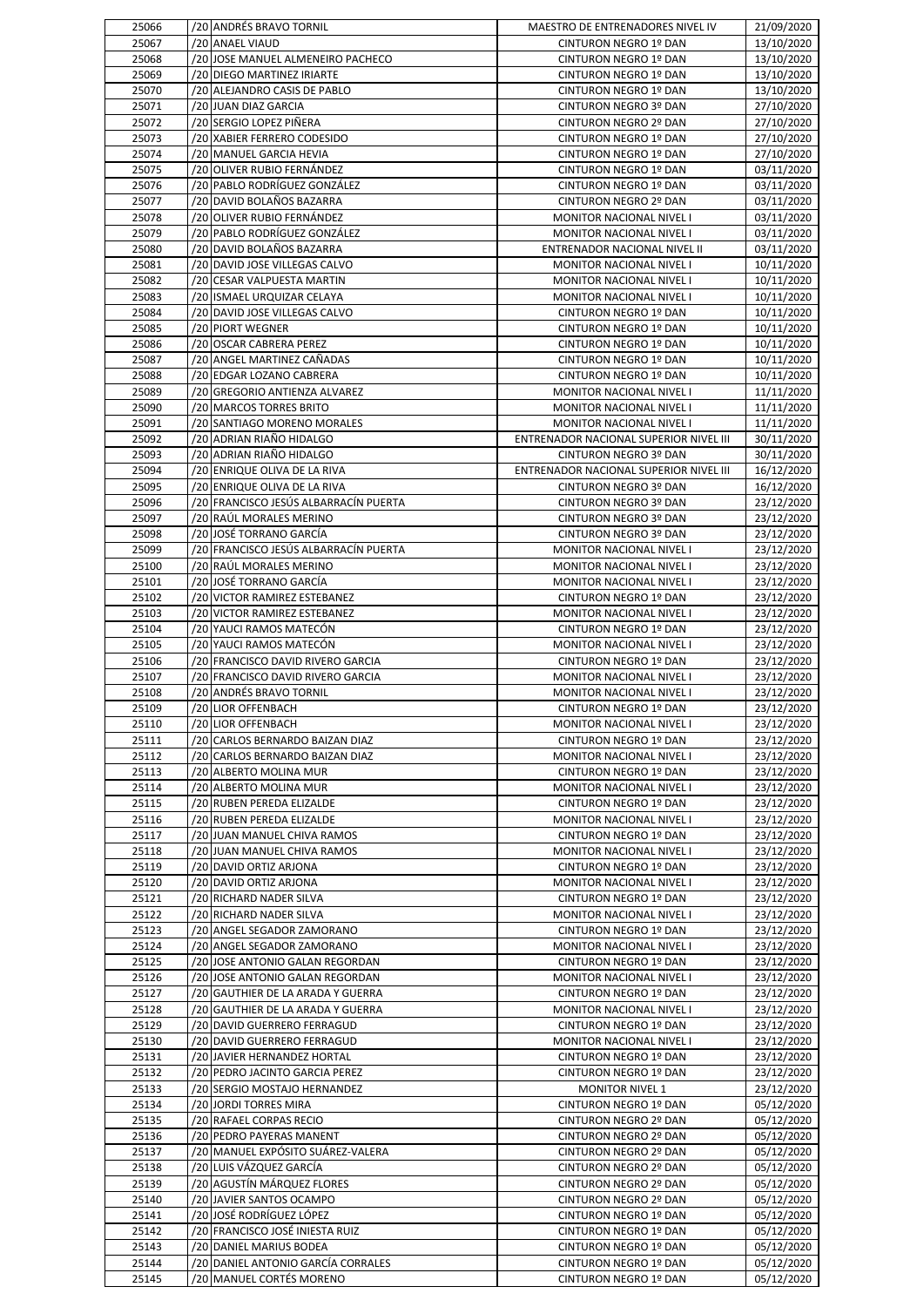| 25066          | /20 ANDRÉS BRAVO TORNIL                                               | MAESTRO DE ENTRENADORES NIVEL IV                      | 21/09/2020               |
|----------------|-----------------------------------------------------------------------|-------------------------------------------------------|--------------------------|
| 25067          | /20 ANAEL VIAUD                                                       | CINTURON NEGRO 1º DAN                                 | 13/10/2020               |
| 25068<br>25069 | /20 JOSE MANUEL ALMENEIRO PACHECO<br>/20 DIEGO MARTINEZ IRIARTE       | CINTURON NEGRO 1º DAN<br>CINTURON NEGRO 1º DAN        | 13/10/2020<br>13/10/2020 |
| 25070          | /20 ALEJANDRO CASIS DE PABLO                                          | CINTURON NEGRO 1º DAN                                 | 13/10/2020               |
| 25071          | /20 JUAN DIAZ GARCIA                                                  | CINTURON NEGRO 3º DAN                                 | 27/10/2020               |
| 25072          | /20 SERGIO LOPEZ PIÑERA                                               | CINTURON NEGRO 2º DAN                                 | 27/10/2020               |
| 25073          | /20 XABIER FERRERO CODESIDO                                           | CINTURON NEGRO 1º DAN                                 | 27/10/2020               |
| 25074          | /20 MANUEL GARCIA HEVIA                                               | CINTURON NEGRO 1º DAN                                 | 27/10/2020               |
| 25075<br>25076 | /20 OLIVER RUBIO FERNÁNDEZ<br>/20 PABLO RODRÍGUEZ GONZÁLEZ            | CINTURON NEGRO 1º DAN<br>CINTURON NEGRO 1º DAN        | 03/11/2020<br>03/11/2020 |
| 25077          | /20 DAVID BOLAÑOS BAZARRA                                             | CINTURON NEGRO 2º DAN                                 | 03/11/2020               |
| 25078          | /20 OLIVER RUBIO FERNÁNDEZ                                            | MONITOR NACIONAL NIVEL I                              | 03/11/2020               |
| 25079          | /20 PABLO RODRÍGUEZ GONZÁLEZ                                          | MONITOR NACIONAL NIVEL I                              | 03/11/2020               |
| 25080          | /20 DAVID BOLAÑOS BAZARRA                                             | ENTRENADOR NACIONAL NIVEL II                          | 03/11/2020               |
| 25081          | /20 DAVID JOSE VILLEGAS CALVO                                         | MONITOR NACIONAL NIVEL I                              | 10/11/2020               |
| 25082<br>25083 | /20 CESAR VALPUESTA MARTIN<br>/20 ISMAEL URQUIZAR CELAYA              | MONITOR NACIONAL NIVEL I<br>MONITOR NACIONAL NIVEL I  | 10/11/2020<br>10/11/2020 |
| 25084          | /20 DAVID JOSE VILLEGAS CALVO                                         | CINTURON NEGRO 1º DAN                                 | 10/11/2020               |
| 25085          | /20 PIORT WEGNER                                                      | CINTURON NEGRO 1º DAN                                 | 10/11/2020               |
| 25086          | /20 OSCAR CABRERA PEREZ                                               | CINTURON NEGRO 1º DAN                                 | 10/11/2020               |
| 25087          | /20 ANGEL MARTINEZ CAÑADAS                                            | CINTURON NEGRO 1º DAN                                 | 10/11/2020               |
| 25088<br>25089 | /20 EDGAR LOZANO CABRERA<br>/20 GREGORIO ANTIENZA ALVAREZ             | CINTURON NEGRO 1º DAN<br>MONITOR NACIONAL NIVEL I     | 10/11/2020<br>11/11/2020 |
| 25090          | /20 MARCOS TORRES BRITO                                               | MONITOR NACIONAL NIVEL I                              | 11/11/2020               |
| 25091          | /20 SANTIAGO MORENO MORALES                                           | MONITOR NACIONAL NIVEL I                              | 11/11/2020               |
| 25092          | /20 ADRIAN RIAÑO HIDALGO                                              | ENTRENADOR NACIONAL SUPERIOR NIVEL III                | 30/11/2020               |
| 25093          | /20 ADRIAN RIAÑO HIDALGO                                              | CINTURON NEGRO 3º DAN                                 | 30/11/2020               |
| 25094          | /20 ENRIQUE OLIVA DE LA RIVA                                          | ENTRENADOR NACIONAL SUPERIOR NIVEL III                | 16/12/2020               |
| 25095<br>25096 | /20 ENRIQUE OLIVA DE LA RIVA<br>/20 FRANCISCO JESÚS ALBARRACÍN PUERTA | CINTURON NEGRO 3º DAN<br>CINTURON NEGRO 3º DAN        | 16/12/2020<br>23/12/2020 |
| 25097          | /20 RAÚL MORALES MERINO                                               | CINTURON NEGRO 3º DAN                                 | 23/12/2020               |
| 25098          | /20 JOSÉ TORRANO GARCÍA                                               | CINTURON NEGRO 3º DAN                                 | 23/12/2020               |
| 25099          | /20 FRANCISCO JESÚS ALBARRACÍN PUERTA                                 | MONITOR NACIONAL NIVEL I                              | 23/12/2020               |
| 25100          | /20 RAÚL MORALES MERINO                                               | MONITOR NACIONAL NIVEL I                              | 23/12/2020               |
| 25101<br>25102 | /20 JOSÉ TORRANO GARCÍA<br>/20 VICTOR RAMIREZ ESTEBANEZ               | MONITOR NACIONAL NIVEL I                              | 23/12/2020               |
| 25103          | /20 VICTOR RAMIREZ ESTEBANEZ                                          | CINTURON NEGRO 1º DAN<br>MONITOR NACIONAL NIVEL I     | 23/12/2020<br>23/12/2020 |
|                |                                                                       |                                                       |                          |
| 25104          | /20 YAUCI RAMOS MATECÓN                                               | CINTURON NEGRO 1º DAN                                 |                          |
| 25105          | /20 YAUCI RAMOS MATECÓN                                               | MONITOR NACIONAL NIVEL I                              | 23/12/2020<br>23/12/2020 |
| 25106          | /20 FRANCISCO DAVID RIVERO GARCIA                                     | CINTURON NEGRO 1º DAN                                 | 23/12/2020               |
| 25107          | /20 FRANCISCO DAVID RIVERO GARCIA                                     | MONITOR NACIONAL NIVEL I                              | 23/12/2020               |
| 25108          | /20 ANDRÉS BRAVO TORNIL                                               | MONITOR NACIONAL NIVEL I                              |                          |
| 25109          | /20 LIOR OFFENBACH                                                    | CINTURON NEGRO 1º DAN                                 | 23/12/2020               |
| 25110<br>25111 | /20 LIOR OFFENBACH<br>/20 CARLOS BERNARDO BAIZAN DIAZ                 | MONITOR NACIONAL NIVEL I<br>CINTURON NEGRO 1º DAN     | 23/12/2020<br>23/12/2020 |
| 25112          | /20 CARLOS BERNARDO BAIZAN DIAZ                                       | MONITOR NACIONAL NIVEL I                              | 23/12/2020<br>23/12/2020 |
| 25113          | /20 ALBERTO MOLINA MUR                                                | CINTURON NEGRO 1º DAN                                 | 23/12/2020               |
| 25114          | /20 ALBERTO MOLINA MUR                                                | MONITOR NACIONAL NIVEL I                              | 23/12/2020               |
| 25115          | /20 RUBEN PEREDA ELIZALDE                                             | CINTURON NEGRO 1º DAN                                 | 23/12/2020               |
| 25116<br>25117 | /20 RUBEN PEREDA ELIZALDE<br>/20 JUAN MANUEL CHIVA RAMOS              | MONITOR NACIONAL NIVEL I<br>CINTURON NEGRO 1º DAN     | 23/12/2020               |
| 25118          | /20 JUAN MANUEL CHIVA RAMOS                                           | MONITOR NACIONAL NIVEL I                              | 23/12/2020<br>23/12/2020 |
| 25119          | /20 DAVID ORTIZ ARJONA                                                | CINTURON NEGRO 1º DAN                                 | 23/12/2020               |
| 25120          | /20 DAVID ORTIZ ARJONA                                                | MONITOR NACIONAL NIVEL I                              | 23/12/2020               |
| 25121          | /20 RICHARD NADER SILVA                                               | CINTURON NEGRO 1º DAN                                 | 23/12/2020               |
| 25122          | /20 RICHARD NADER SILVA                                               | <b>MONITOR NACIONAL NIVEL I</b>                       | 23/12/2020               |
| 25123<br>25124 | /20 ANGEL SEGADOR ZAMORANO<br>/20 ANGEL SEGADOR ZAMORANO              | CINTURON NEGRO 1º DAN<br>MONITOR NACIONAL NIVEL I     | 23/12/2020<br>23/12/2020 |
| 25125          | /20 JOSE ANTONIO GALAN REGORDAN                                       | CINTURON NEGRO 1º DAN                                 | 23/12/2020               |
| 25126          | /20 JOSE ANTONIO GALAN REGORDAN                                       | MONITOR NACIONAL NIVEL I                              | 23/12/2020               |
| 25127          | /20 GAUTHIER DE LA ARADA Y GUERRA                                     | CINTURON NEGRO 1º DAN                                 | 23/12/2020               |
| 25128          | /20 GAUTHIER DE LA ARADA Y GUERRA                                     | MONITOR NACIONAL NIVEL I                              | 23/12/2020               |
| 25129          | /20 DAVID GUERRERO FERRAGUD                                           | CINTURON NEGRO 1º DAN                                 | 23/12/2020               |
| 25130<br>25131 | /20 DAVID GUERRERO FERRAGUD<br>/20 JAVIER HERNANDEZ HORTAL            | MONITOR NACIONAL NIVEL I<br>CINTURON NEGRO 1º DAN     | 23/12/2020<br>23/12/2020 |
| 25132          | /20 PEDRO JACINTO GARCIA PEREZ                                        | CINTURON NEGRO 1º DAN                                 | 23/12/2020               |
| 25133          | /20 SERGIO MOSTAJO HERNANDEZ                                          | <b>MONITOR NIVEL 1</b>                                | 23/12/2020               |
| 25134          | /20 JORDI TORRES MIRA                                                 | CINTURON NEGRO 1º DAN                                 | 05/12/2020               |
| 25135          | /20 RAFAEL CORPAS RECIO                                               | CINTURON NEGRO 2º DAN                                 | 05/12/2020               |
| 25136          | /20 PEDRO PAYERAS MANENT                                              | CINTURON NEGRO 2º DAN                                 | 05/12/2020               |
| 25137<br>25138 | /20 MANUEL EXPÓSITO SUÁREZ-VALERA<br>/20 LUIS VÁZQUEZ GARCÍA          | CINTURON NEGRO 2º DAN<br>CINTURON NEGRO 2º DAN        | 05/12/2020               |
| 25139          | /20 AGUSTIN MÁRQUEZ FLORES                                            | CINTURON NEGRO 2º DAN                                 | 05/12/2020<br>05/12/2020 |
| 25140          | /20 JAVIER SANTOS OCAMPO                                              | CINTURON NEGRO 2º DAN                                 | 05/12/2020               |
| 25141          | /20 JOSÉ RODRÍGUEZ LÓPEZ                                              | CINTURON NEGRO 1º DAN                                 | 05/12/2020               |
| 25142          | /20 FRANCISCO JOSÉ INIESTA RUIZ                                       | CINTURON NEGRO 1º DAN                                 | 05/12/2020               |
| 25143<br>25144 | /20 DANIEL MARIUS BODEA<br>/20 DANIEL ANTONIO GARCÍA CORRALES         | <b>CINTURON NEGRO 1º DAN</b><br>CINTURON NEGRO 1º DAN | 05/12/2020<br>05/12/2020 |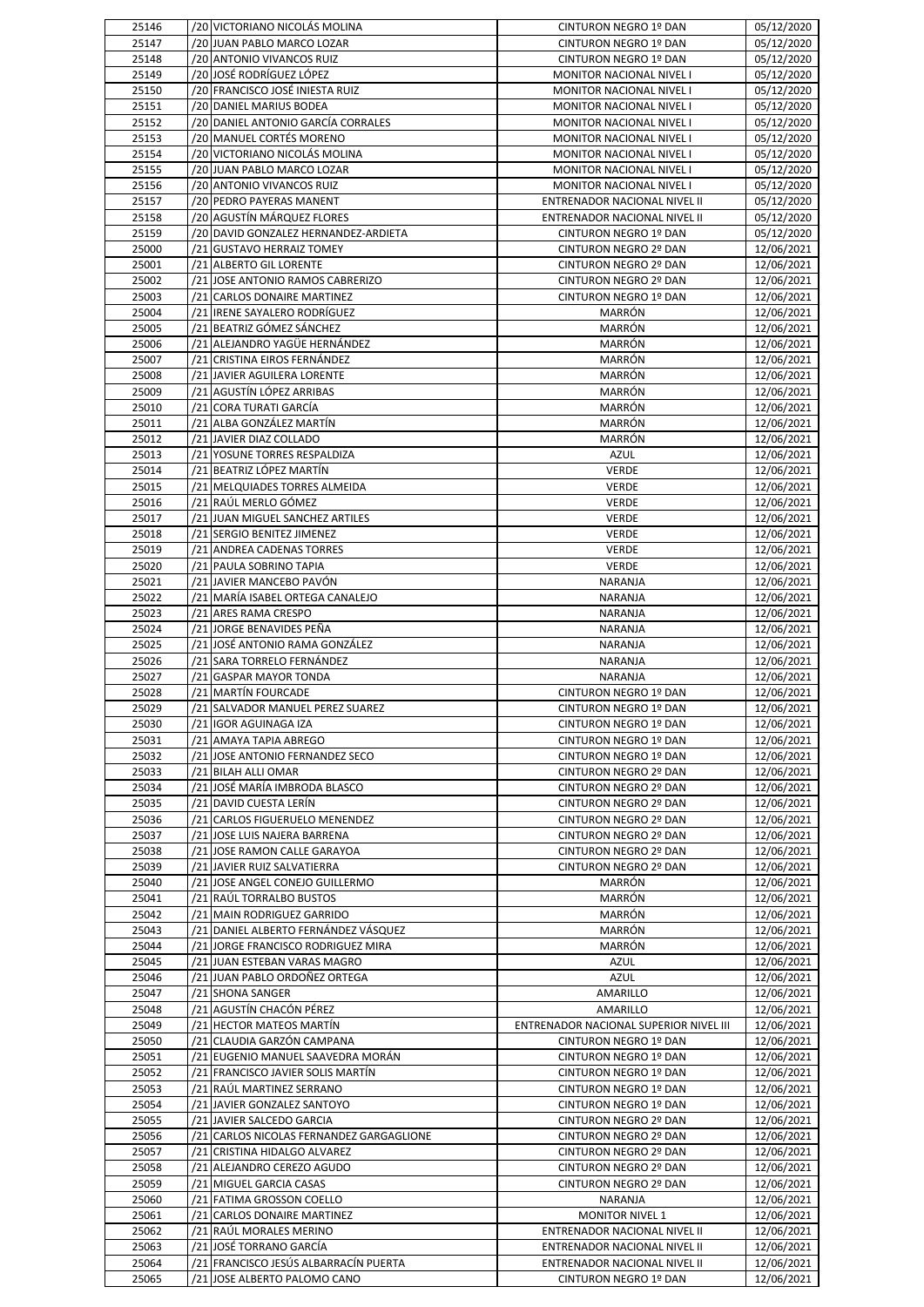| 25146          | /20 VICTORIANO NICOLÁS MOLINA                                              | CINTURON NEGRO 1º DAN                                 | 05/12/2020               |
|----------------|----------------------------------------------------------------------------|-------------------------------------------------------|--------------------------|
| 25147          | /20 JUAN PABLO MARCO LOZAR                                                 | CINTURON NEGRO 1º DAN                                 | 05/12/2020               |
| 25148          | /20 ANTONIO VIVANCOS RUIZ                                                  | CINTURON NEGRO 1º DAN                                 | 05/12/2020               |
| 25149          | /20 JOSÉ RODRÍGUEZ LÓPEZ<br>/20 FRANCISCO JOSÉ INIESTA RUIZ                | MONITOR NACIONAL NIVEL I                              | 05/12/2020               |
| 25150<br>25151 | /20 DANIEL MARIUS BODEA                                                    | MONITOR NACIONAL NIVEL I<br>MONITOR NACIONAL NIVEL I  | 05/12/2020<br>05/12/2020 |
| 25152          | /20 DANIEL ANTONIO GARCÍA CORRALES                                         | <b>MONITOR NACIONAL NIVEL I</b>                       | 05/12/2020               |
| 25153          | /20 MANUEL CORTÉS MORENO                                                   | MONITOR NACIONAL NIVEL I                              | 05/12/2020               |
| 25154          | /20 VICTORIANO NICOLÁS MOLINA                                              | MONITOR NACIONAL NIVEL I                              | 05/12/2020               |
| 25155          | /20 JUAN PABLO MARCO LOZAR                                                 | MONITOR NACIONAL NIVEL I                              | 05/12/2020               |
| 25156          | /20 ANTONIO VIVANCOS RUIZ                                                  | MONITOR NACIONAL NIVEL I                              | 05/12/2020               |
| 25157          | /20 PEDRO PAYERAS MANENT                                                   | ENTRENADOR NACIONAL NIVEL II                          | 05/12/2020               |
| 25158          | /20 AGUSTÍN MÁRQUEZ FLORES                                                 | ENTRENADOR NACIONAL NIVEL II                          | 05/12/2020               |
| 25159<br>25000 | /20 DAVID GONZALEZ HERNANDEZ-ARDIETA<br>/21 GUSTAVO HERRAIZ TOMEY          | CINTURON NEGRO 1º DAN<br>CINTURON NEGRO 2º DAN        | 05/12/2020<br>12/06/2021 |
| 25001          | /21 ALBERTO GIL LORENTE                                                    | CINTURON NEGRO 2º DAN                                 | 12/06/2021               |
| 25002          | /21 JOSE ANTONIO RAMOS CABRERIZO                                           | CINTURON NEGRO 2º DAN                                 | 12/06/2021               |
| 25003          | /21 CARLOS DONAIRE MARTINEZ                                                | CINTURON NEGRO 1º DAN                                 | 12/06/2021               |
| 25004          | /21 IRENE SAYALERO RODRÍGUEZ                                               | <b>MARRÓN</b>                                         | 12/06/2021               |
| 25005          | /21 BEATRIZ GÓMEZ SÁNCHEZ                                                  | <b>MARRÓN</b>                                         | 12/06/2021               |
| 25006          | /21 ALEJANDRO YAGÜE HERNÁNDEZ                                              | <b>MARRÓN</b>                                         | 12/06/2021               |
| 25007          | /21 CRISTINA EIROS FERNÁNDEZ                                               | <b>MARRÓN</b>                                         | 12/06/2021               |
| 25008          | /21 JAVIER AGUILERA LORENTE                                                | <b>MARRÓN</b>                                         | 12/06/2021               |
| 25009<br>25010 | /21 AGUSTÍN LÓPEZ ARRIBAS                                                  | <b>MARRÓN</b>                                         | 12/06/2021               |
| 25011          | /21 CORA TURATI GARCÍA<br>/21 ALBA GONZÁLEZ MARTÍN                         | <b>MARRÓN</b><br><b>MARRÓN</b>                        | 12/06/2021<br>12/06/2021 |
| 25012          | /21 JAVIER DIAZ COLLADO                                                    | <b>MARRÓN</b>                                         | 12/06/2021               |
| 25013          | /21 YOSUNE TORRES RESPALDIZA                                               | <b>AZUL</b>                                           | 12/06/2021               |
| 25014          | /21 BEATRIZ LÓPEZ MARTÍN                                                   | <b>VERDE</b>                                          | 12/06/2021               |
| 25015          | /21 MELQUIADES TORRES ALMEIDA                                              | <b>VERDE</b>                                          | 12/06/2021               |
| 25016          | /21 RAÚL MERLO GÓMEZ                                                       | <b>VERDE</b>                                          | 12/06/2021               |
| 25017          | /21 JUAN MIGUEL SANCHEZ ARTILES                                            | <b>VERDE</b>                                          | 12/06/2021               |
| 25018          | /21 SERGIO BENITEZ JIMENEZ                                                 | <b>VERDE</b>                                          | 12/06/2021               |
| 25019          | /21 ANDREA CADENAS TORRES                                                  | <b>VERDE</b>                                          | 12/06/2021               |
| 25020          | /21 PAULA SOBRINO TAPIA                                                    | <b>VERDE</b>                                          | 12/06/2021               |
| 25021<br>25022 | /21 JAVIER MANCEBO PAVÓN<br>/21  MARÍA ISABEL ORTEGA CANALEJO              | NARANJA                                               | 12/06/2021               |
| 25023          | /21 ARES RAMA CRESPO                                                       | NARANJA<br>NARANJA                                    | 12/06/2021<br>12/06/2021 |
| 25024          | /21 JORGE BENAVIDES PEÑA                                                   | NARANJA                                               | 12/06/2021               |
| 25025          | /21 JOSÉ ANTONIO RAMA GONZÁLEZ                                             | NARANJA                                               | 12/06/2021               |
| 25026          | /21 SARA TORRELO FERNÁNDEZ                                                 | NARANJA                                               | 12/06/2021               |
| 25027          | /21 GASPAR MAYOR TONDA                                                     | <b>NARANJA</b>                                        | 12/06/2021               |
| 25028          | /21 MARTÍN FOURCADE                                                        | CINTURON NEGRO 1º DAN                                 | 12/06/2021               |
| 25029          | /21 SALVADOR MANUEL PEREZ SUAREZ                                           | CINTURON NEGRO 1º DAN                                 | 12/06/2021               |
| 25030          | /21 IGOR AGUINAGA IZA                                                      | CINTURON NEGRO 1º DAN                                 | 12/06/2021               |
| 25031          | /21 AMAYA TAPIA ABREGO                                                     | CINTURON NEGRO 1º DAN                                 | 12/06/2021               |
| 25032<br>25033 | /21 JOSE ANTONIO FERNANDEZ SECO<br>/21 BILAH ALLI OMAR                     | CINTURON NEGRO 1º DAN<br><b>CINTURON NEGRO 2º DAN</b> | 12/06/2021<br>12/06/2021 |
| 25034          | /21 JOSÉ MARÍA IMBRODA BLASCO                                              | CINTURON NEGRO 2º DAN                                 | 12/06/2021               |
| 25035          | /21 DAVID CUESTA LERÍN                                                     | CINTURON NEGRO 2º DAN                                 | 12/06/2021               |
| 25036          | /21 CARLOS FIGUERUELO MENENDEZ                                             | CINTURON NEGRO 2º DAN                                 | 12/06/2021               |
| 25037          | /21 JOSE LUIS NAJERA BARRENA                                               | CINTURON NEGRO 2º DAN                                 | 12/06/2021               |
| 25038          | /21 JOSE RAMON CALLE GARAYOA                                               | <b>CINTURON NEGRO 2º DAN</b>                          | 12/06/2021               |
| 25039          | /21 JAVIER RUIZ SALVATIERRA                                                | CINTURON NEGRO 2º DAN                                 | 12/06/2021               |
| 25040          | /21 JOSE ANGEL CONEJO GUILLERMO                                            | <b>MARRON</b>                                         | 12/06/2021               |
| 25041          | /21 RAÚL TORRALBO BUSTOS                                                   | MARRÓN                                                | 12/06/2021               |
| 25042          | /21 MAIN RODRIGUEZ GARRIDO                                                 | MARRÓN                                                | 12/06/2021               |
| 25043<br>25044 | /21 DANIEL ALBERTO FERNÁNDEZ VÁSQUEZ<br>/21 JORGE FRANCISCO RODRIGUEZ MIRA | <b>MARRÓN</b><br>MARRÓN                               | 12/06/2021<br>12/06/2021 |
| 25045          | /21 JUAN ESTEBAN VARAS MAGRO                                               | AZUL                                                  | 12/06/2021               |
| 25046          | /21 JUAN PABLO ORDOÑEZ ORTEGA                                              | <b>AZUL</b>                                           | 12/06/2021               |
| 25047          | /21 SHONA SANGER                                                           | AMARILLO                                              | 12/06/2021               |
| 25048          | /21 AGUSTÍN CHACÓN PÉREZ                                                   | AMARILLO                                              | 12/06/2021               |
| 25049          | /21 HECTOR MATEOS MARTIN                                                   | ENTRENADOR NACIONAL SUPERIOR NIVEL III                | 12/06/2021               |
| 25050          | /21 CLAUDIA GARZÓN CAMPANA                                                 | CINTURON NEGRO 1º DAN                                 | 12/06/2021               |
| 25051          | /21 EUGENIO MANUEL SAAVEDRA MORÁN                                          | CINTURON NEGRO 1º DAN                                 | 12/06/2021               |
| 25052          | /21 FRANCISCO JAVIER SOLIS MARTIN                                          | CINTURON NEGRO 1º DAN                                 | 12/06/2021               |
| 25053          | /21 RAÚL MARTINEZ SERRANO                                                  | CINTURON NEGRO 1º DAN                                 | 12/06/2021               |
| 25054<br>25055 | /21 JAVIER GONZALEZ SANTOYO<br>/21 JAVIER SALCEDO GARCIA                   | CINTURON NEGRO 1º DAN<br>CINTURON NEGRO 2º DAN        | 12/06/2021               |
| 25056          | /21 CARLOS NICOLAS FERNANDEZ GARGAGLIONE                                   | CINTURON NEGRO 2º DAN                                 | 12/06/2021<br>12/06/2021 |
| 25057          | /21 CRISTINA HIDALGO ALVAREZ                                               | CINTURON NEGRO 2º DAN                                 | 12/06/2021               |
| 25058          | /21 ALEJANDRO CEREZO AGUDO                                                 | CINTURON NEGRO 2º DAN                                 | 12/06/2021               |
| 25059          | /21 MIGUEL GARCIA CASAS                                                    | CINTURON NEGRO 2º DAN                                 | 12/06/2021               |
| 25060          | /21 FATIMA GROSSON COELLO                                                  | NARANJA                                               | 12/06/2021               |
| 25061          | /21 CARLOS DONAIRE MARTINEZ                                                | <b>MONITOR NIVEL 1</b>                                | 12/06/2021               |
| 25062          | /21 RAÚL MORALES MERINO                                                    | ENTRENADOR NACIONAL NIVEL II                          | 12/06/2021               |
| 25063          | /21 JOSÉ TORRANO GARCÍA                                                    | ENTRENADOR NACIONAL NIVEL II                          | 12/06/2021               |
| 25064          | /21 FRANCISCO JESÚS ALBARRACÍN PUERTA                                      | ENTRENADOR NACIONAL NIVEL II                          | 12/06/2021               |
| 25065          | /21 JOSE ALBERTO PALOMO CANO                                               | CINTURON NEGRO 1º DAN                                 | 12/06/2021               |